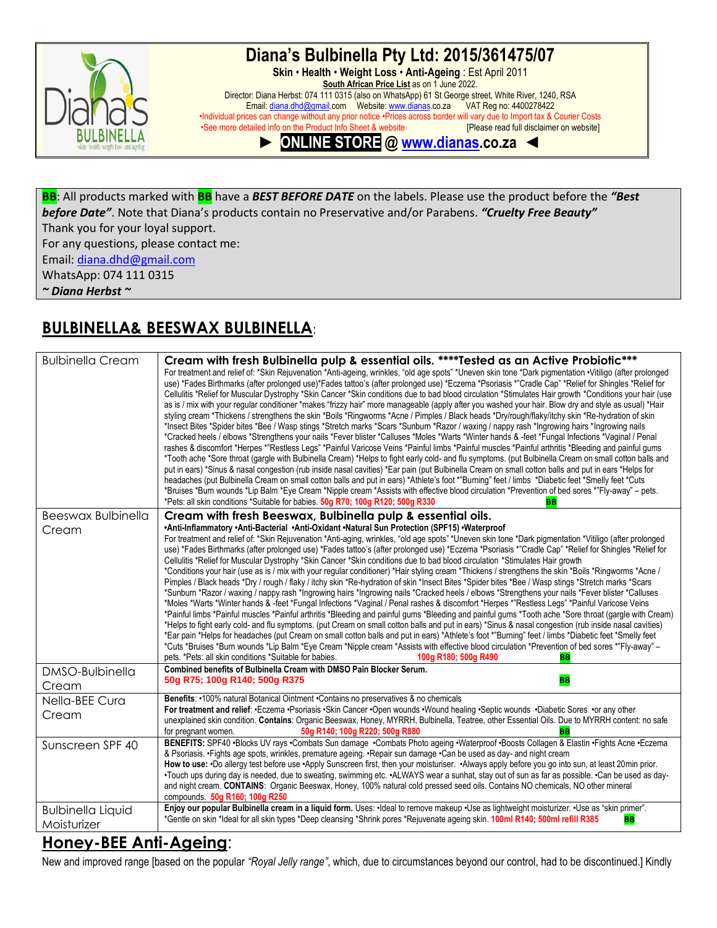

### **Diana's Bulbinella Pty Ltd: 2015/361475/07**

**Skin** • **Health** • **Weight Loss** • **Anti-Ageing** : Est April 2011 **South African Price List** as on 1 June 2022. Director: Diana Herbst: 074 111 0315 (also on WhatsApp) 61 St George street, White River, 1240, RSA Email: [diana.dhd@gmail.c](mailto:diana.dhd@gmail)om Website[: www.dianas.c](http://www.dianas/)o.za VAT Reg no: 4400278422 •Individual prices can change without any prior notice •Prices across border will vary due to Import tax & Courier Costs •See more detailed info on the Product Info Sheet & website

**► ONLINE STORE @ [www.dianas](http://www.dianas/).co.za ◄**

**BB**: All products marked with **BB** have a *BEST BEFORE DATE* on the labels. Please use the product before the *"Best before Date"*. Note that Diana's products contain no Preservative and/or Parabens. *"Cruelty Free Beauty"* Thank you for your loyal support.

For any questions, please contact me:

Email: [diana.dhd@gmail.com](mailto:diana.dhd@gmail.com)

WhatsApp: 074 111 0315

*~ Diana Herbst ~*

### **BULBINELLA& BEESWAX BULBINELLA**:

| <b>Bulbinella Cream</b>                 | Cream with fresh Bulbinella pulp & essential oils. ****Tested as an Active Probiotic***<br>For treatment and relief of: *Skin Rejuvenation *Anti-ageing, wrinkles, "old age spots" *Uneven skin tone *Dark pigmentation •Vitiligo (after prolonged<br>use) *Fades Birthmarks (after prolonged use)*Fades tattoo's (after prolonged use) *Eczema *Psoriasis *"Cradle Cap" *Relief for Shingles *Relief for<br>Cellulitis *Relief for Muscular Dystrophy *Skin Cancer *Skin conditions due to bad blood circulation *Stimulates Hair growth *Conditions your hair (use<br>as is / mix with your regular conditioner *makes "frizzy hair" more manageable (apply after you washed your hair. Blow dry and style as usual) *Hair<br>styling cream *Thickens / strengthens the skin *Boils *Ringworms *Acne / Pimples / Black heads *Dry/rough/flaky/itchy skin *Re-hydration of skin<br>*Insect Bites *Spider bites *Bee / Wasp stings *Stretch marks *Scars *Sunburn *Razor / waxing / nappy rash *Ingrowing hairs *Ingrowing nails<br>*Cracked heels / elbows *Strengthens your nails *Fever blister *Calluses *Moles *Warts *Winter hands & -feet *Fungal Infections *Vaginal / Penal<br>rashes & discomfort *Herpes *"Restless Legs" *Painful Varicose Veins *Painful limbs *Painful muscles *Painful arthritis *Bleeding and painful qums<br>*Tooth ache *Sore throat (gargle with Bulbinella Cream) *Helps to fight early cold- and flu symptoms. (put Bulbinella Cream on small cotton balls and<br>put in ears) *Sinus & nasal congestion (rub inside nasal cavities) *Ear pain (put Bulbinella Cream on small cotton balls and put in ears *Helps for<br>headaches (put Bulbinella Cream on small cotton balls and put in ears) *Athlete's foot *"Burning" feet / limbs *Diabetic feet *Smelly feet *Cuts<br>*Bruises *Burn wounds *Lip Balm *Eye Cream *Nipple cream *Assists with effective blood circulation *Prevention of bed sores *"Fly-away" – pets.<br>*Pets: all skin conditions *Suitable for babies. 50g R70; 100g R120; 500g R330<br><b>BB</b> |
|-----------------------------------------|------------------------------------------------------------------------------------------------------------------------------------------------------------------------------------------------------------------------------------------------------------------------------------------------------------------------------------------------------------------------------------------------------------------------------------------------------------------------------------------------------------------------------------------------------------------------------------------------------------------------------------------------------------------------------------------------------------------------------------------------------------------------------------------------------------------------------------------------------------------------------------------------------------------------------------------------------------------------------------------------------------------------------------------------------------------------------------------------------------------------------------------------------------------------------------------------------------------------------------------------------------------------------------------------------------------------------------------------------------------------------------------------------------------------------------------------------------------------------------------------------------------------------------------------------------------------------------------------------------------------------------------------------------------------------------------------------------------------------------------------------------------------------------------------------------------------------------------------------------------------------------------------------------------------------------------------------------------------------------------------------------------------------------------------------------------|
| <b>Beeswax Bulbinella</b><br>Cream      | Cream with fresh Beeswax, Bulbinella pulp & essential oils.<br>•Anti-Inflammatory •Anti-Bacterial •Anti-Oxidant •Natural Sun Protection (SPF15) •Waterproof<br>For treatment and relief of: *Skin Rejuvenation *Anti-aging, wrinkles, "old age spots" *Uneven skin tone *Dark pigmentation *Vitiligo (after prolonged<br>use) *Fades Birthmarks (after prolonged use) *Fades tattoo's (after prolonged use) *Eczema *Psoriasis *"Cradle Cap" *Relief for Shingles *Relief for<br>Cellulitis *Relief for Muscular Dystrophy *Skin Cancer *Skin conditions due to bad blood circulation *Stimulates Hair growth<br>*Conditions your hair (use as is / mix with your regular conditioner) *Hair styling cream *Thickens / strengthens the skin *Boils *Ringworms *Acne /<br>Pimples / Black heads *Dry / rough / flaky / itchy skin *Re-hydration of skin *Insect Bites *Spider bites *Bee / Wasp stings *Stretch marks *Scars<br>*Sunburn *Razor / waxing / nappy rash *Ingrowing hairs *Ingrowing nails *Cracked heels / elbows *Strengthens your nails *Fever blister *Calluses<br>*Moles *Warts *Winter hands & -feet *Fungal Infections *Vaginal / Penal rashes & discomfort *Herpes *"Restless Legs" *Painful Varicose Veins<br>*Painful limbs *Painful muscles *Painful arthritis *Bleeding and painful gums *Bleeding and painful gums *Tooth ache *Sore throat (gargle with Cream)<br>*Helps to fight early cold- and flu symptoms. (put Cream on small cotton balls and put in ears) *Sinus & nasal congestion (rub inside nasal cavities)<br>*Ear pain *Helps for headaches (put Cream on small cotton balls and put in ears) *Athlete's foot *"Buming" feet / limbs *Diabetic feet *Smelly feet<br>*Cuts *Bruises *Burn wounds *Lip Balm *Eye Cream *Nipple cream *Assists with effective blood circulation *Prevention of bed sores *"Fly-away" -<br>pets. *Pets: all skin conditions *Suitable for babies.<br>100g R180; 500g R490<br>ВB                                                                                                              |
| DMSO-Bulbinella<br>Cream                | Combined benefits of Bulbinella Cream with DMSO Pain Blocker Serum.<br>50g R75; 100g R140; 500g R375<br><b>BB</b>                                                                                                                                                                                                                                                                                                                                                                                                                                                                                                                                                                                                                                                                                                                                                                                                                                                                                                                                                                                                                                                                                                                                                                                                                                                                                                                                                                                                                                                                                                                                                                                                                                                                                                                                                                                                                                                                                                                                                |
| Nella-BEE Cura<br>Cream                 | Benefits: •100% natural Botanical Ointment •Contains no preservatives & no chemicals<br>For treatment and relief: •Eczema •Psoriasis •Skin Cancer •Open wounds •Wound healing •Septic wounds •Diabetic Sores •or any other<br>unexplained skin condition. Contains: Organic Beeswax, Honey, MYRRH, Bulbinella, Teatree, other Essential Oils. Due to MYRRH content: no safe<br>50g R140; 100g R220; 500g R880<br>for pregnant women.                                                                                                                                                                                                                                                                                                                                                                                                                                                                                                                                                                                                                                                                                                                                                                                                                                                                                                                                                                                                                                                                                                                                                                                                                                                                                                                                                                                                                                                                                                                                                                                                                             |
| Sunscreen SPF 40                        | BENEFITS: SPF40 ·Blocks UV rays ·Combats Sun damage ·Combats Photo ageing ·Waterproof ·Boosts Collagen & Elastin ·Fights Acne ·Eczema<br>& Psoriasis. • Fights age spots, wrinkles, premature ageing. • Repair sun damage • Can be used as day- and night cream<br>How to use: ·Do allergy test before use ·Apply Sunscreen first, then your moisturiser. ·Always apply before you go into sun, at least 20min prior.<br>•Touch ups during day is needed, due to sweating, swimming etc. •ALWAYS wear a sunhat, stay out of sun as far as possible. •Can be used as day-<br>and night cream. CONTAINS: Organic Beeswax, Honey, 100% natural cold pressed seed oils. Contains NO chemicals, NO other mineral<br>compounds. 50g R160; 100g R250                                                                                                                                                                                                                                                                                                                                                                                                                                                                                                                                                                                                                                                                                                                                                                                                                                                                                                                                                                                                                                                                                                                                                                                                                                                                                                                    |
| <b>Bulbinella Liquid</b><br>Moisturizer | Enjoy our popular Bulbinella cream in a liquid form. Uses: · Ideal to remove makeup · Use as lightweight moisturizer. · Use as "skin primer".<br>*Gentle on skin *Ideal for all skin types *Deep cleansing *Shrink pores *Rejuvenate ageing skin. 100ml R140; 500ml refill R385<br><b>BB</b>                                                                                                                                                                                                                                                                                                                                                                                                                                                                                                                                                                                                                                                                                                                                                                                                                                                                                                                                                                                                                                                                                                                                                                                                                                                                                                                                                                                                                                                                                                                                                                                                                                                                                                                                                                     |

#### **Honey-BEE Anti-Ageing**:

New and improved range [based on the popular *"Royal Jelly range"*, which, due to circumstances beyond our control, had to be discontinued.] Kindly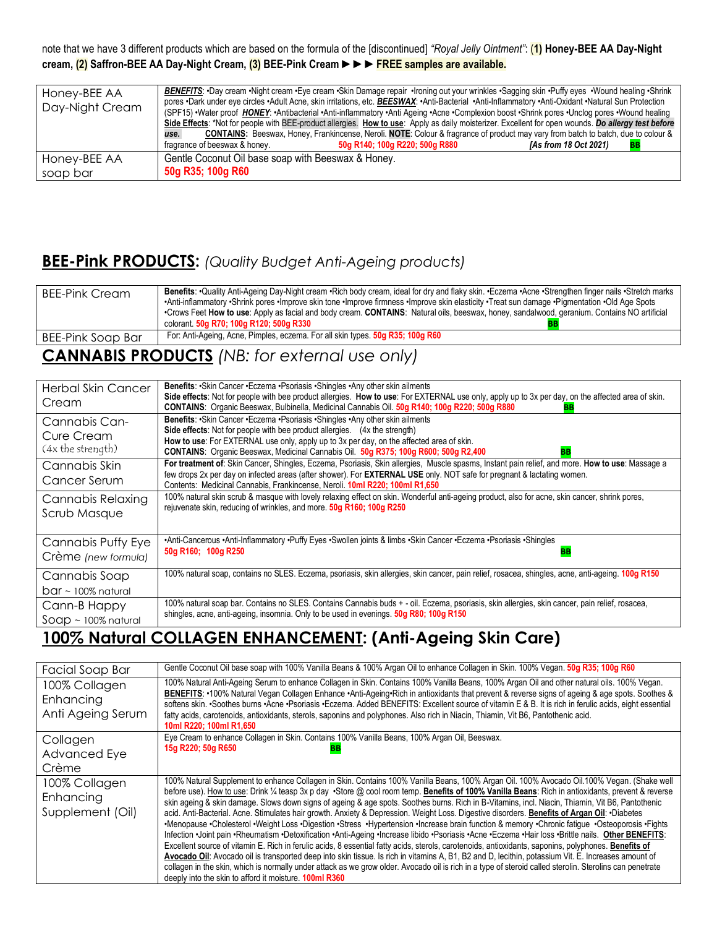note that we have 3 different products which are based on the formula of the [discontinued] *"Royal Jelly Ointment"*: (**1) Honey-BEE AA Day-Night cream, (2) Saffron-BEE AA Day-Night Cream, (3) BEE-Pink Cream** ►►►**FREE samples are available.**

| Honey-BEE AA<br>Day-Night Cream | BENEFITS: •Day cream •Night cream •Eye cream •Skin Damage repair •Ironing out your wrinkles •Sagging skin •Puffy eyes •Wound healing •Shrink<br>pores •Dark under eye circles •Adult Acne, skin irritations, etc. <b>BEESWAX: •</b> Anti-Bacterial •Anti-Inflammatory •Anti-Oxidant •Natural Sun Protection<br>(SPF15) Water proof HONEY: Antibacterial Anti-inflammatory Anti Ageing Acne Complexion boost Shrink pores Unclog pores Wound healing<br>Side Effects: *Not for people with BEE-product allergies. How to use: Apply as daily moisterizer. Excellent for open wounds. Do allergy test before<br><b>CONTAINS:</b> Beeswax, Honey, Frankincense, Neroli. NOTE: Colour & fragrance of product may vary from batch to batch, due to colour &<br>use.<br>[As from 18 Oct 2021]<br>fragrance of beeswax & honey.<br>50g R140; 100g R220; 500g R880<br>BB |
|---------------------------------|------------------------------------------------------------------------------------------------------------------------------------------------------------------------------------------------------------------------------------------------------------------------------------------------------------------------------------------------------------------------------------------------------------------------------------------------------------------------------------------------------------------------------------------------------------------------------------------------------------------------------------------------------------------------------------------------------------------------------------------------------------------------------------------------------------------------------------------------------------------|
| Honey-BEE AA                    | Gentle Coconut Oil base soap with Beeswax & Honey.                                                                                                                                                                                                                                                                                                                                                                                                                                                                                                                                                                                                                                                                                                                                                                                                               |
| soap bar                        | 50g R35; 100g R60                                                                                                                                                                                                                                                                                                                                                                                                                                                                                                                                                                                                                                                                                                                                                                                                                                                |

### **BEE-Pink PRODUCTS:** *(Quality Budget Anti-Ageing products)*

| <b>BEE-Pink Cream</b> | Benefits: •Quality Anti-Ageing Day-Night cream •Rich body cream, ideal for dry and flaky skin. •Eczema •Acne •Strengthen finger nails •Stretch marks<br>•Anti-inflammatory •Shrink pores •Improve skin tone •Improve firmness •Improve skin elasticity •Treat sun damage •Pigmentation •Old Age Spots<br>•Crows Feet How to use: Apply as facial and body cream. CONTAINS: Natural oils, beeswax, honey, sandalwood, geranium. Contains NO artificial<br>colorant. 50g R70; 100g R120; 500g R330 |
|-----------------------|--------------------------------------------------------------------------------------------------------------------------------------------------------------------------------------------------------------------------------------------------------------------------------------------------------------------------------------------------------------------------------------------------------------------------------------------------------------------------------------------------|
| BEE-Pink Soap Bar     | For: Anti-Ageing, Acne, Pimples, eczema. For all skin types. 50g R35; 100g R60                                                                                                                                                                                                                                                                                                                                                                                                                   |

## **CANNABIS PRODUCTS** *(NB: for external use only)*

| <b>Herbal Skin Cancer</b><br>Cream                      | Benefits: • Skin Cancer • Eczema • Psoriasis • Shingles • Any other skin ailments<br>Side effects: Not for people with bee product allergies. How to use: For EXTERNAL use only, apply up to 3x per day, on the affected area of skin.<br>CONTAINS: Organic Beeswax, Bulbinella, Medicinal Cannabis Oil. 50g R140; 100g R220; 500g R880<br>BB                   |
|---------------------------------------------------------|-----------------------------------------------------------------------------------------------------------------------------------------------------------------------------------------------------------------------------------------------------------------------------------------------------------------------------------------------------------------|
| Cannabis Can-<br><b>Cure Cream</b><br>(4x the strength) | Benefits: •Skin Cancer •Eczema •Psoriasis •Shingles •Any other skin ailments<br>Side effects: Not for people with bee product allergies. (4x the strength)<br>How to use: For EXTERNAL use only, apply up to 3x per day, on the affected area of skin.<br>CONTAINS: Organic Beeswax, Medicinal Cannabis Oil. 50g R375; 100g R600; 500g R2,400<br><b>BB</b>      |
| Cannabis Skin<br>Cancer Serum                           | For treatment of: Skin Cancer, Shingles, Eczema, Psoriasis, Skin allergies, Muscle spasms, Instant pain relief, and more. How to use: Massage a<br>few drops 2x per day on infected areas (after shower). For <b>EXTERNAL USE</b> only. NOT safe for pregnant & lactating women.<br>Contents: Medicinal Cannabis, Frankincense, Neroli. 10ml R220; 100ml R1,650 |
| <b>Cannabis Relaxing</b><br>Scrub Masque                | 100% natural skin scrub & masque with lovely relaxing effect on skin. Wonderful anti-ageing product, also for acne, skin cancer, shrink pores,<br>rejuvenate skin, reducing of wrinkles, and more. 50g R160; 100g R250                                                                                                                                          |
| Cannabis Puffy Eye<br>Crème (new formula)               | •Anti-Cancerous •Anti-Inflammatory •Puffy Eyes •Swollen joints & limbs •Skin Cancer •Eczema •Psoriasis •Shingles<br>50g R160; 100g R250<br>BB                                                                                                                                                                                                                   |
| Cannabis Soap<br>$bar \sim 100\%$ natural               | 100% natural soap, contains no SLES. Eczema, psoriasis, skin allergies, skin cancer, pain relief, rosacea, shingles, acne, anti-ageing. 100g R150                                                                                                                                                                                                               |
| Cann-B Happy<br>$S$ OQ $p \sim 100\%$ natural           | 100% natural soap bar. Contains no SLES. Contains Cannabis buds + - oil. Eczema, psoriasis, skin allergies, skin cancer, pain relief, rosacea,<br>shingles, acne, anti-ageing, insomnia. Only to be used in evenings. 50g R80; 100g R150                                                                                                                        |

## **100% Natural COLLAGEN ENHANCEMENT: (Anti-Ageing Skin Care)**

| Facial Soap Bar            | Gentle Coconut Oil base soap with 100% Vanilla Beans & 100% Argan Oil to enhance Collagen in Skin. 100% Vegan. 50g R35; 100g R60                                                                                                                                                                                                                                                                                                                        |
|----------------------------|---------------------------------------------------------------------------------------------------------------------------------------------------------------------------------------------------------------------------------------------------------------------------------------------------------------------------------------------------------------------------------------------------------------------------------------------------------|
| 100% Collagen<br>Enhancing | 100% Natural Anti-Ageing Serum to enhance Collagen in Skin. Contains 100% Vanilla Beans, 100% Argan Oil and other natural oils. 100% Vegan.<br>BENEFITS: •100% Natural Vegan Collagen Enhance •Anti-Ageing•Rich in antioxidants that prevent & reverse signs of ageing & age spots. Soothes &<br>softens skin. •Soothes burns •Acne •Psoriasis •Eczema. Added BENEFITS: Excellent source of vitamin E & B. It is rich in ferulic acids, eight essential |
| Anti Ageing Serum          | fatty acids, carotenoids, antioxidants, sterols, saponins and polyphones. Also rich in Niacin, Thiamin, Vit B6, Pantothenic acid.<br>10ml R220; 100ml R1,650                                                                                                                                                                                                                                                                                            |
| Collagen                   | Eye Cream to enhance Collagen in Skin. Contains 100% Vanilla Beans, 100% Argan Oil, Beeswax.                                                                                                                                                                                                                                                                                                                                                            |
| <b>Advanced Eye</b>        | 15g R220; 50g R650                                                                                                                                                                                                                                                                                                                                                                                                                                      |
| Crème                      |                                                                                                                                                                                                                                                                                                                                                                                                                                                         |
| 100% Collagen              | 100% Natural Supplement to enhance Collagen in Skin. Contains 100% Vanilla Beans, 100% Argan Oil. 100% Avocado Oil.100% Vegan. (Shake well<br>before use). How to use: Drink 1/4 teasp 3x p day . Store @ cool room temp. Benefits of 100% Vanilla Beans: Rich in antioxidants, prevent & reverse                                                                                                                                                       |
| Enhancing                  | skin ageing & skin damage. Slows down signs of ageing & age spots. Soothes burns. Rich in B-Vitamins, incl. Niacin, Thiamin, Vit B6, Pantothenic                                                                                                                                                                                                                                                                                                        |
| Supplement (Oil)           | acid. Anti-Bacterial. Acne. Stimulates hair growth. Anxiety & Depression. Weight Loss. Digestive disorders. Benefits of Argan Oil: .Diabetes                                                                                                                                                                                                                                                                                                            |
|                            | •Menopause •Cholesterol •Weight Loss •Digestion •Stress •Hypertension •Increase brain function & memory •Chronic fatigue •Osteoporosis •Fights<br>Infection Joint pain Rheumatism Detoxification Anti-Ageing Increase libido Psoriasis Acne Eczema Hair loss Brittle nails. Other BENEFITS:                                                                                                                                                             |
|                            | Excellent source of vitamin E. Rich in ferulic acids, 8 essential fatty acids, sterols, carotenoids, antioxidants, saponins, polyphones. Benefits of                                                                                                                                                                                                                                                                                                    |
|                            | Avocado Oil: Avocado oil is transported deep into skin tissue. Is rich in vitamins A, B1, B2 and D, lecithin, potassium Vit. E. Increases amount of                                                                                                                                                                                                                                                                                                     |
|                            | collagen in the skin, which is normally under attack as we grow older. Avocado oil is rich in a type of steroid called sterolin. Sterolins can penetrate<br>deeply into the skin to afford it moisture. <b>100ml R360</b>                                                                                                                                                                                                                               |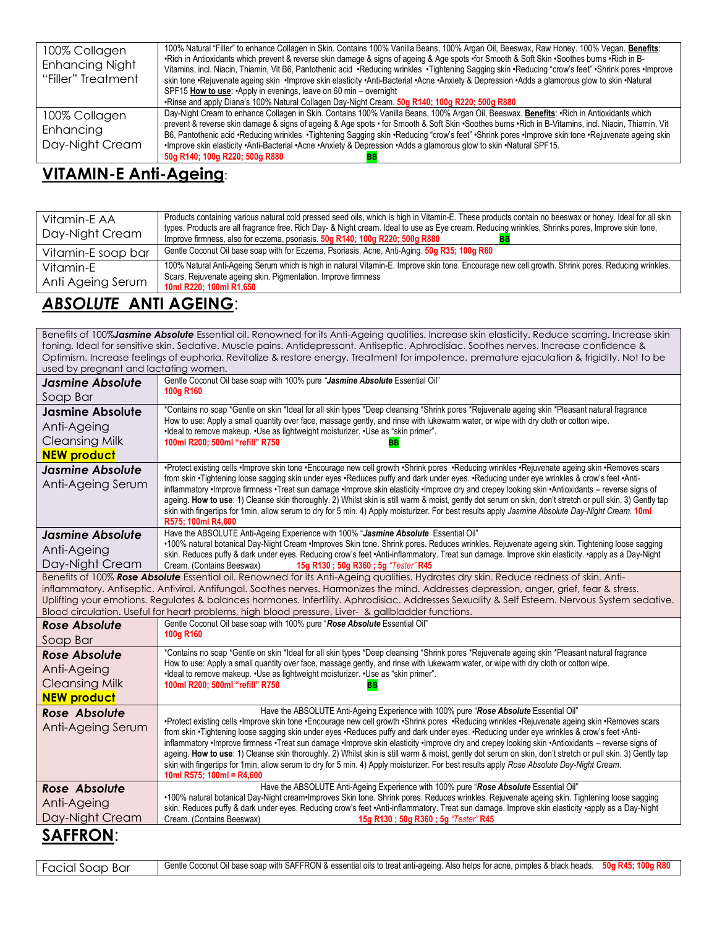| 100% Collagen<br><b>Enhancing Night</b><br>"Filler" Treatment | 100% Natural "Filler" to enhance Collagen in Skin. Contains 100% Vanilla Beans, 100% Argan Oil, Beeswax, Raw Honey. 100% Vegan. Benefits:<br>•Rich in Antioxidants which prevent & reverse skin damage & signs of ageing & Age spots •for Smooth & Soft Skin •Soothes burns •Rich in B-<br>Vitamins, incl. Niacin, Thiamin, Vit B6, Pantothenic acid ·Reducing wrinkles ·Tightening Sagging skin ·Reducing "crow's feet" ·Shrink pores ·Improve<br>skin tone ·Rejuvenate ageing skin ·Improve skin elasticity ·Anti-Bacterial ·Acne ·Anxiety & Depression ·Adds a glamorous glow to skin ·Natural<br>SPF15 How to use: • Apply in evenings, leave on 60 min – overnight<br>. Rinse and apply Diana's 100% Natural Collagen Day-Night Cream. 50g R140; 100g R220; 500g R880 |
|---------------------------------------------------------------|----------------------------------------------------------------------------------------------------------------------------------------------------------------------------------------------------------------------------------------------------------------------------------------------------------------------------------------------------------------------------------------------------------------------------------------------------------------------------------------------------------------------------------------------------------------------------------------------------------------------------------------------------------------------------------------------------------------------------------------------------------------------------|
| 100% Collagen<br>Enhancing<br>Day-Night Cream                 | Day-Night Cream to enhance Collagen in Skin. Contains 100% Vanilla Beans, 100% Argan Oil, Beeswax. Benefits: Rich in Antioxidants which<br>prevent & reverse skin damage & signs of ageing & Age spots • for Smooth & Soft Skin • Soothes burns • Rich in B-Vitamins, incl. Niacin, Thiamin, Vit<br>B6, Pantothenic acid ·Reducing wrinkles ·Tightening Sagging skin ·Reducing "crow's feet" ·Shrink pores ·Improve skin tone ·Rejuvenate ageing skin<br>.Natural SPF15. Inprove skin elasticity .Anti-Bacterial .Acne .Anxiety & Depression .Adds a glamorous glow to skin .Natural SPF15.<br>50g R140; 100g R220; 500g R880                                                                                                                                              |

### **VITAMIN-E Anti-Ageing**:

| Vitamin-E AA<br>Day-Night Cream | Products containing various natural cold pressed seed oils, which is high in Vitamin-E. These products contain no beeswax or honey. Ideal for all skin<br>types. Products are all fragrance free. Rich Day- & Night cream. Ideal to use as Eye cream. Reducing wrinkles, Shrinks pores, Improve skin tone,<br>Improve firmness, also for eczema, psoriasis. 50g R140; 100g R220; 500g R880 |
|---------------------------------|--------------------------------------------------------------------------------------------------------------------------------------------------------------------------------------------------------------------------------------------------------------------------------------------------------------------------------------------------------------------------------------------|
| Vitamin-E soap bar              | Gentle Coconut Oil base soap with for Eczema, Psoriasis, Acne, Anti-Aging. 50g R35; 100g R60                                                                                                                                                                                                                                                                                               |
| Vitamin-F<br>Anti Ageing Serum  | 100% Natural Anti-Ageing Serum which is high in natural Vitamin-E. Improve skin tone. Encourage new cell growth. Shrink pores. Reducing wrinkles.<br>Scars. Rejuvenate ageing skin. Pigmentation. Improve firmness<br>10ml R220; 100ml R1,650                                                                                                                                              |
|                                 |                                                                                                                                                                                                                                                                                                                                                                                            |

#### *ABSOLUTE* **ANTI AGEING**:

Benefits of 100%*Jasmine Absolute* Essential oil. Renowned for its Anti-Ageing qualities. Increase skin elasticity. Reduce scarring. Increase skin toning. Ideal for sensitive skin. Sedative. Muscle pains. Antidepressant. Antiseptic. Aphrodisiac. Soothes nerves. Increase confidence & Optimism. Increase feelings of euphoria. Revitalize & restore energy. Treatment for impotence, premature ejaculation & frigidity. Not to be used by pregnant and lactating women. *Jasmine Absolute*  Soap Bar Gentle Coconut Oil base soap with 100% pure *"Jasmine Absolute* Essential Oil" **100g R160 Jasmine Absolute**  Anti-Ageing Cleansing Milk **NEW product** \*Contains no soap \*Gentle on skin \*Ideal for all skin types \*Deep cleansing \*Shrink pores \*Rejuvenate ageing skin \*Pleasant natural fragrance How to use: Apply a small quantity over face, massage gently, and rinse with lukewarm water, or wipe with dry cloth or cotton wipe. •Ideal to remove makeup. •Use as lightweight moisturizer. •Use as "skin primer". **100ml R200; 500ml "refill" R750 BB** *Jasmine Absolute* Anti-Ageing Serum •Protect existing cells •Improve skin tone •Encourage new cell growth •Shrink pores •Reducing wrinkles •Rejuvenate ageing skin •Removes scars from skin •Tightening loose sagging skin under eyes •Reduces puffy and dark under eyes. •Reducing under eye wrinkles & crow's feet •Antiinflammatory •Improve firmness •Treat sun damage •Improve skin elasticity •Improve dry and crepey looking skin •Antioxidants – reverse signs of ageing. How to use: 1) Cleanse skin thoroughly. 2) Whilst skin is still warm & moist, gently dot serum on skin, don't stretch or pull skin. 3) Gently tap skin with fingertips for 1min, allow serum to dry for 5 min. 4) Apply moisturizer. For best results apply *Jasmine Absolute Day-Night Cream.* **10ml R575; 100ml R4,600** *Jasmine Absolute* Anti-Ageing Day-Night Cream Have the ABSOLUTE Anti-Ageing Experience with 100% "*Jasmine Absolute* Essential Oil" •100% natural botanical Day-Night Cream •Improves Skin tone. Shrink pores. Reduces wrinkles. Rejuvenate ageing skin. Tightening loose sagging skin. Reduces puffy & dark under eyes. Reducing crow's feet •Anti-inflammatory. Treat sun damage. Improve skin elasticity. •apply as a Day-Night Cream. (Contains Beeswax) **15g R130 ; 50g R360 ; 5g** *"Tester"* **R45** Benefits of 100% *Rose Absolute* Essential oil. Renowned for its Anti-Ageing qualities. Hydrates dry skin. Reduce redness of skin. Antiinflammatory. Antiseptic. Antiviral. Antifungal. Soothes nerves. Harmonizes the mind. Addresses depression, anger, grief, fear & stress. Uplifting your emotions. Regulates & balances hormones. Infertility. Aphrodisiac. Addresses Sexuality & Self Esteem. Nervous System sedative. Blood circulation. Useful for heart problems, high blood pressure, Liver- & gallbladder functions. *Rose Absolute* Soap Bar Gentle Coconut Oil base soap with 100% pure "*Rose Absolute* Essential Oil" **100g R160** *Rose Absolute* Anti-Ageing Cleansing Milk **NEW product** \*Contains no soap \*Gentle on skin \*Ideal for all skin types \*Deep cleansing \*Shrink pores \*Rejuvenate ageing skin \*Pleasant natural fragrance How to use: Apply a small quantity over face, massage gently, and rinse with lukewarm water, or wipe with dry cloth or cotton wipe. •Ideal to remove makeup. •Use as lightweight moisturizer. •Use as "skin primer". **100ml R200; 500ml "refill" R750 BB** *Rose Absolute* Anti-Ageing Serum Have the ABSOLUTE Anti-Ageing Experience with 100% pure "*Rose Absolute* Essential Oil" •Protect existing cells •Improve skin tone •Encourage new cell growth •Shrink pores •Reducing wrinkles •Rejuvenate ageing skin •Removes scars from skin •Tightening loose sagging skin under eyes •Reduces puffy and dark under eyes. •Reducing under eye wrinkles & crow's feet •Antiinflammatory •Improve firmness •Treat sun damage •Improve skin elasticity •Improve dry and crepey looking skin •Antioxidants – reverse signs of ageing. **How to use**: 1) Cleanse skin thoroughly. 2) Whilst skin is still warm & moist, gently dot serum on skin, don't stretch or pull skin. 3) Gently tap skin with fingertips for 1min, allow serum to dry for 5 min. 4) Apply moisturizer. For best results apply *Rose Absolute Day-Night Cream*. **10ml R575; 100ml = R4,600** *Rose Absolute* Anti-Ageing Day-Night Cream Have the ABSOLUTE Anti-Ageing Experience with 100% pure "*Rose Absolute* Essential Oil" •100% natural botanical Day-Night cream•Improves Skin tone. Shrink pores. Reduces wrinkles. Rejuvenate ageing skin. Tightening loose sagging skin. Reduces puffy & dark under eyes. Reducing crow's feet •Anti-inflammatory. Treat sun damage. Improve skin elasticity •apply as a Day-Night Cream. (Contains Beeswax) **15g R130 ; 50g R360 ; 5g** *"Tester"* **R45 SAFFRON**:

| Facial Soap<br>Bar | Gentle Coconut Oil base soap with SAFFRON & essential oils to treat anti-ageing. Also helps for acne, pimples & black heads. | 50a R45: 100a R80 |
|--------------------|------------------------------------------------------------------------------------------------------------------------------|-------------------|
|--------------------|------------------------------------------------------------------------------------------------------------------------------|-------------------|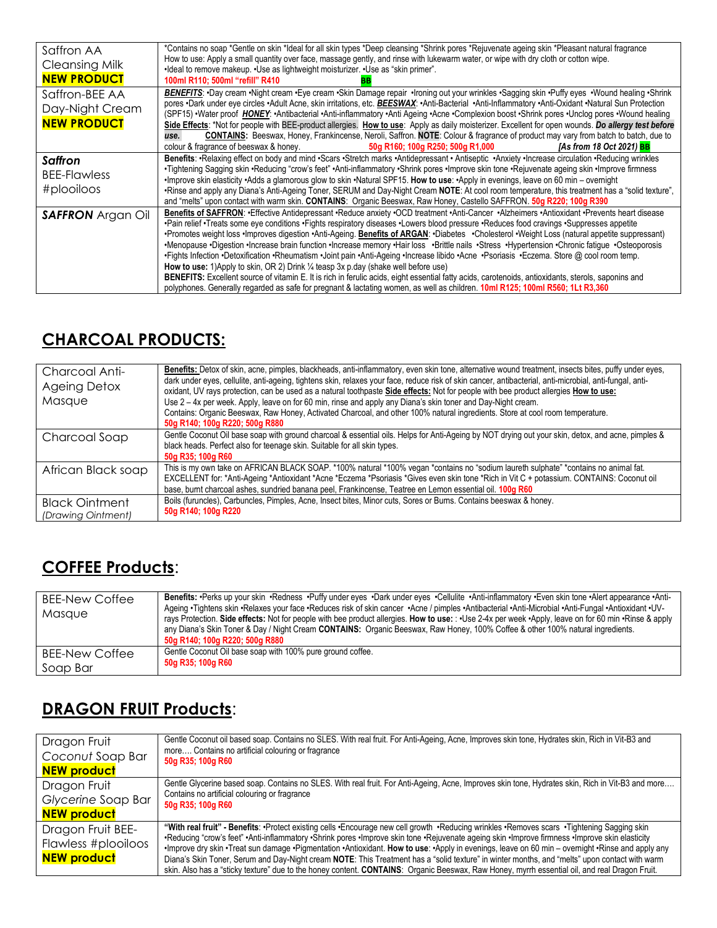| Saffron AA<br><b>Cleansing Milk</b><br><b>NEW PRODUCT</b> | *Contains no soap *Gentle on skin *Ideal for all skin types *Deep cleansing *Shrink pores *Rejuvenate ageing skin *Pleasant natural fragrance<br>How to use: Apply a small quantity over face, massage gently, and rinse with lukewarm water, or wipe with dry cloth or cotton wipe.<br>•Ideal to remove makeup. •Use as lightweight moisturizer. •Use as "skin primer".<br>100ml R110; 500ml "refill" R410                                                                                                                                                                                                                                                                                                                                                                                                                                                                                                                                                                                                                                                                                                             |
|-----------------------------------------------------------|-------------------------------------------------------------------------------------------------------------------------------------------------------------------------------------------------------------------------------------------------------------------------------------------------------------------------------------------------------------------------------------------------------------------------------------------------------------------------------------------------------------------------------------------------------------------------------------------------------------------------------------------------------------------------------------------------------------------------------------------------------------------------------------------------------------------------------------------------------------------------------------------------------------------------------------------------------------------------------------------------------------------------------------------------------------------------------------------------------------------------|
| Saffron-BEE AA<br>Day-Night Cream<br><b>NEW PRODUCT</b>   | BENEFITS: Day cream .Night cream .Eye cream .Skin Damage repair .Ironing out your wrinkles .Sagging skin .Puffy eyes .Wound healing .Shrink<br>pores .Dark under eye circles .Adult Acne, skin irritations, etc. <b>BEESWAX:</b> .Anti-Bacterial .Anti-Inflammatory .Anti-Oxidant .Natural Sun Protection<br>(SPF15) • Water proof HONEY: • Antibacterial • Anti-inflammatory • Anti Ageing • Acne • Complexion boost • Shrink pores • Unclog pores • Wound healing<br>Side Effects: *Not for people with BEE-product allergies. How to use: Apply as daily moisterizer. Excellent for open wounds. Do allergy test before<br><b>CONTAINS:</b> Beeswax, Honey, Frankincense, Neroli, Saffron. NOTE: Colour & fragrance of product may vary from batch to batch, due to<br>use.<br>colour & fragrance of beeswax & honey.<br>50g R160; 100g R250; 500g R1,000<br><b>IAs from 18 Oct 2021) BB</b>                                                                                                                                                                                                                         |
| <b>Saffron</b><br><b>BEE-Flawless</b><br>#plooiloos       | Benefits: ·Relaxing effect on body and mind ·Scars ·Stretch marks ·Antidepressant · Antiseptic ·Anxiety ·Increase circulation ·Reducing wrinkles<br>•Tightening Sagging skin •Reducing "crow's feet" •Anti-inflammatory •Shrink pores •Improve skin tone •Rejuvenate ageing skin •Improve firmness<br>•Improve skin elasticity •Adds a glamorous glow to skin •Natural SPF15. How to use: •Apply in evenings, leave on 60 min – overnight<br>•Rinse and apply any Diana's Anti-Ageing Toner, SERUM and Day-Night Cream NOTE: At cool room temperature, this treatment has a "solid texture",<br>and "melts" upon contact with warm skin. CONTAINS: Organic Beeswax, Raw Honey, Castello SAFFRON. 50g R220; 100g R390                                                                                                                                                                                                                                                                                                                                                                                                    |
| <b>SAFFRON</b> Argan Oil                                  | Benefits of SAFFRON: •Effective Antidepressant •Reduce anxiety •OCD treatment •Anti-Cancer •Alzheimers •Antioxidant •Prevents heart disease<br>•Pain relief •Treats some eye conditions •Fights respiratory diseases •Lowers blood pressure •Reduces food cravings •Suppresses appetite<br>•Promotes weight loss •Improves digestion •Anti-Ageing. Benefits of ARGAN: •Diabetes •Cholesterol •Weight Loss (natural appetite suppressant)<br>•Menopause •Digestion •Increase brain function •Increase memory •Hair loss •Brittle nails •Stress •Hypertension •Chronic fatigue •Osteoporosis<br>•Fights Infection •Detoxification •Rheumatism •Joint pain •Anti-Ageing •Increase libido •Acne •Psoriasis •Eczema. Store @ cool room temp.<br>How to use: 1) Apply to skin, OR 2) Drink 1/4 teasp 3x p.day (shake well before use)<br>BENEFITS: Excellent source of vitamin E. It is rich in ferulic acids, eight essential fatty acids, carotenoids, antioxidants, sterols, saponins and<br>polyphones. Generally regarded as safe for pregnant & lactating women, as well as children. 10ml R125; 100ml R560; 1Lt R3,360 |

## **CHARCOAL PRODUCTS:**

| Charcoal Anti-<br><b>Ageing Detox</b><br>Masque | Benefits: Detox of skin, acne, pimples, blackheads, anti-inflammatory, even skin tone, alternative wound treatment, insects bites, puffy under eyes,<br>dark under eyes, cellulite, anti-ageing, tightens skin, relaxes your face, reduce risk of skin cancer, antibacterial, anti-microbial, anti-fungal, anti-<br>oxidant, UV rays protection, can be used as a natural toothpaste Side effects: Not for people with bee product allergies How to use:<br>Use 2 – 4x per week. Apply, leave on for 60 min, rinse and apply any Diana's skin toner and Day-Night cream.<br>Contains: Organic Beeswax, Raw Honey, Activated Charcoal, and other 100% natural ingredients. Store at cool room temperature.<br>50g R140; 100g R220; 500g R880 |
|-------------------------------------------------|---------------------------------------------------------------------------------------------------------------------------------------------------------------------------------------------------------------------------------------------------------------------------------------------------------------------------------------------------------------------------------------------------------------------------------------------------------------------------------------------------------------------------------------------------------------------------------------------------------------------------------------------------------------------------------------------------------------------------------------------|
| Charcoal Soap                                   | Gentle Coconut Oil base soap with ground charcoal & essential oils. Helps for Anti-Ageing by NOT drying out your skin, detox, and acne, pimples &<br>black heads. Perfect also for teenage skin. Suitable for all skin types.<br>50g R35; 100g R60                                                                                                                                                                                                                                                                                                                                                                                                                                                                                          |
| African Black soap                              | This is my own take on AFRICAN BLACK SOAP. *100% natural *100% vegan *contains no "sodium laureth sulphate" *contains no animal fat.<br>EXCELLENT for: *Anti-Ageing *Antioxidant *Acne *Eczema *Psoriasis *Gives even skin tone *Rich in Vit C + potassium. CONTAINS: Coconut oil<br>base, burnt charcoal ashes, sundried banana peel, Frankincense, Teatree en Lemon essential oil. 100g R60                                                                                                                                                                                                                                                                                                                                               |
| <b>Black Ointment</b><br>(Drawing Ointment)     | Boils (furuncles), Carbuncles, Pimples, Acne, Insect bites, Minor cuts, Sores or Burns. Contains beeswax & honey.<br>50g R140; 100g R220                                                                                                                                                                                                                                                                                                                                                                                                                                                                                                                                                                                                    |

## **COFFEE Products**:

| <b>BEE-New Coffee</b><br>Masque | Benefits: Perks up your skin ·Redness ·Puffy under eyes ·Dark under eyes ·Cellulite ·Anti-inflammatory ·Even skin tone ·Alert appearance ·Anti-<br>-Ageing •Tightens skin •Relaxes your face •Reduces risk of skin cancer •Acne / pimples •Antibacterial •Anti-Microbial •Anti-Fungal •Antioxidant •UV-<br>rays Protection. Side effects: Not for people with bee product allergies. How to use: : •Use 2-4x per week •Apply, leave on for 60 min •Rinse & apply<br>any Diana's Skin Toner & Day / Night Cream CONTAINS: Organic Beeswax, Raw Honey, 100% Coffee & other 100% natural ingredients.<br>50g R140; 100g R220; 500g R880 |
|---------------------------------|--------------------------------------------------------------------------------------------------------------------------------------------------------------------------------------------------------------------------------------------------------------------------------------------------------------------------------------------------------------------------------------------------------------------------------------------------------------------------------------------------------------------------------------------------------------------------------------------------------------------------------------|
| <b>BEE-New Coffee</b>           | Gentle Coconut Oil base soap with 100% pure ground coffee.                                                                                                                                                                                                                                                                                                                                                                                                                                                                                                                                                                           |
| Soap Bar                        | 50g R35; 100g R60                                                                                                                                                                                                                                                                                                                                                                                                                                                                                                                                                                                                                    |

## **DRAGON FRUIT Products**:

| Dragon Fruit                                                   | Gentle Coconut oil based soap. Contains no SLES. With real fruit. For Anti-Ageing, Acne, Improves skin tone, Hydrates skin, Rich in Vit-B3 and                                                                                                                                                                                                                                                                                                                                                                                                                                                                                                                                                                                                      |
|----------------------------------------------------------------|-----------------------------------------------------------------------------------------------------------------------------------------------------------------------------------------------------------------------------------------------------------------------------------------------------------------------------------------------------------------------------------------------------------------------------------------------------------------------------------------------------------------------------------------------------------------------------------------------------------------------------------------------------------------------------------------------------------------------------------------------------|
| Coconut Soap Bar                                               | more Contains no artificial colouring or fragrance                                                                                                                                                                                                                                                                                                                                                                                                                                                                                                                                                                                                                                                                                                  |
| <b>NEW product</b>                                             | 50g R35; 100g R60                                                                                                                                                                                                                                                                                                                                                                                                                                                                                                                                                                                                                                                                                                                                   |
| Dragon Fruit                                                   | Gentle Glycerine based soap. Contains no SLES. With real fruit. For Anti-Ageing, Acne, Improves skin tone, Hydrates skin, Rich in Vit-B3 and more                                                                                                                                                                                                                                                                                                                                                                                                                                                                                                                                                                                                   |
| Glycerine Soap Bar                                             | Contains no artificial colouring or fragrance                                                                                                                                                                                                                                                                                                                                                                                                                                                                                                                                                                                                                                                                                                       |
| <b>NEW product</b>                                             | 50g R35; 100g R60                                                                                                                                                                                                                                                                                                                                                                                                                                                                                                                                                                                                                                                                                                                                   |
| Dragon Fruit BEE-<br>Flawless #plooiloos<br><b>NEW product</b> | "With real fruit" - Benefits: ·Protect existing cells ·Encourage new cell growth ·Reducing wrinkles ·Removes scars ·Tightening Sagging skin<br>•Reducing "crow's feet" •Anti-inflammatory •Shrink pores •Improve skin tone •Rejuvenate ageing skin •Improve firmness •Improve skin elasticity<br>•Improve dry skin •Treat sun damage •Pigmentation •Antioxidant. How to use: •Apply in evenings, leave on 60 min – overnight •Rinse and apply any<br>Diana's Skin Toner, Serum and Day-Night cream NOTE: This Treatment has a "solid texture" in winter months, and "melts" upon contact with warm<br>skin. Also has a "sticky texture" due to the honey content. CONTAINS: Organic Beeswax, Raw Honey, myrrh essential oil, and real Dragon Fruit. |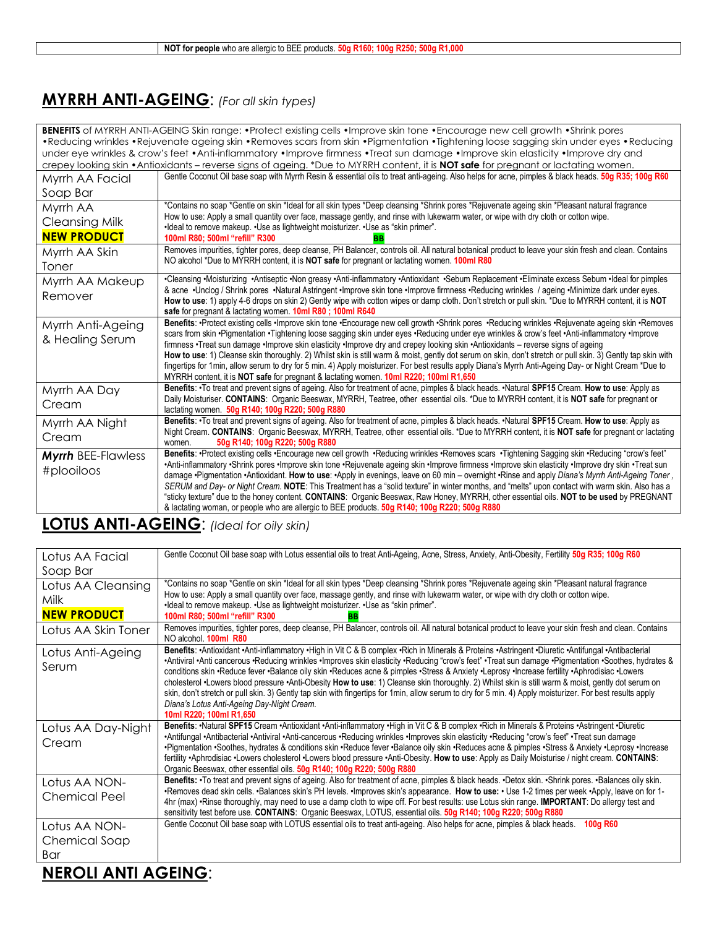## **MYRRH ANTI-AGEING**: *(For all skin types)*

| <b>BENEFITS</b> of MYRRH ANTI-AGEING Skin range: •Protect existing cells •Improve skin tone •Encourage new cell growth •Shrink pores |                                                                                                                                                                                                                                                                                                                      |
|--------------------------------------------------------------------------------------------------------------------------------------|----------------------------------------------------------------------------------------------------------------------------------------------------------------------------------------------------------------------------------------------------------------------------------------------------------------------|
|                                                                                                                                      | •Reducing wrinkles •Rejuvenate ageing skin •Removes scars from skin •Pigmentation •Tightening loose sagging skin under eyes •Reducing                                                                                                                                                                                |
|                                                                                                                                      | under eye wrinkles & crow's feet • Anti-inflammatory • Improve firmness • Treat sun damage • Improve skin elasticity • Improve dry and                                                                                                                                                                               |
|                                                                                                                                      | crepey looking skin • Antioxidants – reverse signs of ageing. *Due to MYRRH content, it is NOT safe for pregnant or lactating women.                                                                                                                                                                                 |
| Myrrh AA Facial                                                                                                                      | Gentle Coconut Oil base soap with Myrrh Resin & essential oils to treat anti-ageing. Also helps for acne, pimples & black heads. 50g R35; 100g R60                                                                                                                                                                   |
| Soap Bar                                                                                                                             |                                                                                                                                                                                                                                                                                                                      |
| Myrrh AA                                                                                                                             | *Contains no soap *Gentle on skin *Ideal for all skin types *Deep cleansing *Shrink pores *Rejuvenate ageing skin *Pleasant natural fragrance                                                                                                                                                                        |
| <b>Cleansing Milk</b>                                                                                                                | How to use: Apply a small quantity over face, massage gently, and rinse with lukewarm water, or wipe with dry cloth or cotton wipe.<br>•Ideal to remove makeup. •Use as lightweight moisturizer. •Use as "skin primer".                                                                                              |
| <b>NEW PRODUCT</b>                                                                                                                   | 100ml R80; 500ml "refill" R300                                                                                                                                                                                                                                                                                       |
| Myrrh AA Skin                                                                                                                        | Removes impurities, tighter pores, deep cleanse, PH Balancer, controls oil. All natural botanical product to leave your skin fresh and clean. Contains                                                                                                                                                               |
| Toner                                                                                                                                | NO alcohol *Due to MYRRH content, it is NOT safe for pregnant or lactating women. 100ml R80                                                                                                                                                                                                                          |
| Myrrh AA Makeup                                                                                                                      | •Cleansing •Moisturizing •Antiseptic •Non greasy •Anti-inflammatory •Antioxidant •Sebum Replacement •Eliminate excess Sebum •Ideal for pimples                                                                                                                                                                       |
| Remover                                                                                                                              | & acne .Unclog / Shrink pores .Natural Astringent .Improve skin tone .Improve firmness .Reducing wrinkles / ageing .Minimize dark under eyes.                                                                                                                                                                        |
|                                                                                                                                      | How to use: 1) apply 4-6 drops on skin 2) Gently wipe with cotton wipes or damp cloth. Don't stretch or pull skin. *Due to MYRRH content, it is NOT<br>safe for pregnant & lactating women. 10ml R80; 100ml R640                                                                                                     |
| Myrrh Anti-Ageing                                                                                                                    | Benefits: •Protect existing cells •Improve skin tone •Encourage new cell growth •Shrink pores •Reducing wrinkles •Rejuvenate ageing skin •Removes                                                                                                                                                                    |
| & Healing Serum                                                                                                                      | scars from skin •Pigmentation •Tightening loose sagging skin under eyes •Reducing under eye wrinkles & crow's feet •Anti-inflammatory •Improve                                                                                                                                                                       |
|                                                                                                                                      | firmness ·Treat sun damage ·Improve skin elasticity ·Improve dry and crepey looking skin ·Antioxidants - reverse signs of ageing                                                                                                                                                                                     |
|                                                                                                                                      | How to use: 1) Cleanse skin thoroughly. 2) Whilst skin is still warm & moist, gently dot serum on skin, don't stretch or pull skin. 3) Gently tap skin with<br>fingertips for 1min, allow serum to dry for 5 min. 4) Apply moisturizer. For best results apply Diana's Myrrh Anti-Ageing Day- or Night Cream *Due to |
|                                                                                                                                      | MYRRH content, it is NOT safe for pregnant & lactating women. 10ml R220; 100ml R1,650                                                                                                                                                                                                                                |
| Myrrh AA Day                                                                                                                         | Benefits: •To treat and prevent signs of ageing. Also for treatment of acne, pimples & black heads. •Natural SPF15 Cream. How to use: Apply as                                                                                                                                                                       |
| Cream                                                                                                                                | Daily Moisturiser. CONTAINS: Organic Beeswax, MYRRH, Teatree, other essential oils. *Due to MYRRH content, it is NOT safe for pregnant or                                                                                                                                                                            |
|                                                                                                                                      | lactating women. 50g R140; 100g R220; 500g R880                                                                                                                                                                                                                                                                      |
| Myrrh AA Night                                                                                                                       | Benefits: . To treat and prevent signs of ageing. Also for treatment of acne, pimples & black heads. . Natural SPF15 Cream. How to use: Apply as<br>Night Cream. CONTAINS: Organic Beeswax, MYRRH, Teatree, other essential oils. *Due to MYRRH content, it is NOT safe for pregnant or lactating                    |
| Cream                                                                                                                                | 50g R140; 100g R220; 500g R880<br>women.                                                                                                                                                                                                                                                                             |
| <b>Myrrh BEE-Flawless</b>                                                                                                            | Benefits: •Protect existing cells •Encourage new cell growth •Reducing wrinkles •Removes scars •Tightening Sagging skin •Reducing "crow's feet"                                                                                                                                                                      |
|                                                                                                                                      | •Anti-inflammatory •Shrink pores •Improve skin tone •Rejuvenate ageing skin •Improve firmness •Improve skin elasticity •Improve dry skin •Treat sun                                                                                                                                                                  |
| #plooiloos                                                                                                                           | damage .Pigmentation .Antioxidant. How to use: .Apply in evenings, leave on 60 min - overnight .Rinse and apply Diana's Myrrh Anti-Ageing Toner,                                                                                                                                                                     |
|                                                                                                                                      | SERUM and Day- or Night Cream. NOTE: This Treatment has a "solid texture" in winter months, and "melts" upon contact with warm skin. Also has a                                                                                                                                                                      |
|                                                                                                                                      | "sticky texture" due to the honey content. CONTAINS: Organic Beeswax, Raw Honey, MYRRH, other essential oils. NOT to be used by PREGNANT                                                                                                                                                                             |
|                                                                                                                                      | & lactating woman, or people who are allergic to BEE products. 50g R140; 100g R220; 500g R880                                                                                                                                                                                                                        |

## **LOTUS ANTI-AGEING**: *(Ideal for oily skin)*

| Lotus AA Facial                                  | Gentle Coconut Oil base soap with Lotus essential oils to treat Anti-Ageing, Acne, Stress, Anxiety, Anti-Obesity, Fertility 50g R35; 100g R60                                                                                                                                                                                                                                                                                                                                                                                                                                                                                                                                                                                                                                                                                                          |
|--------------------------------------------------|--------------------------------------------------------------------------------------------------------------------------------------------------------------------------------------------------------------------------------------------------------------------------------------------------------------------------------------------------------------------------------------------------------------------------------------------------------------------------------------------------------------------------------------------------------------------------------------------------------------------------------------------------------------------------------------------------------------------------------------------------------------------------------------------------------------------------------------------------------|
| Soap Bar                                         |                                                                                                                                                                                                                                                                                                                                                                                                                                                                                                                                                                                                                                                                                                                                                                                                                                                        |
| Lotus AA Cleansing<br>Milk<br><b>NEW PRODUCT</b> | *Contains no soap *Gentle on skin *Ideal for all skin types *Deep cleansing *Shrink pores *Rejuvenate ageing skin *Pleasant natural fragrance<br>How to use: Apply a small quantity over face, massage gently, and rinse with lukewarm water, or wipe with dry cloth or cotton wipe.<br>•Ideal to remove makeup. •Use as lightweight moisturizer. •Use as "skin primer".<br>100ml R80; 500ml "refill" R300                                                                                                                                                                                                                                                                                                                                                                                                                                             |
| Lotus AA Skin Toner                              | Removes impurities, tighter pores, deep cleanse, PH Balancer, controls oil. All natural botanical product to leave your skin fresh and clean. Contains<br>NO alcohol. 100ml R80                                                                                                                                                                                                                                                                                                                                                                                                                                                                                                                                                                                                                                                                        |
| Lotus Anti-Ageing<br>Serum                       | Benefits: •Antioxidant •Anti-inflammatory •High in Vit C & B complex •Rich in Minerals & Proteins •Astringent •Diuretic •Antifungal •Antibacterial<br>•Antiviral •Anti cancerous •Reducing wrinkles •Improves skin elasticity •Reducing "crow's feet" •Treat sun damage •Pigmentation •Soothes, hydrates &<br>conditions skin •Reduce fever •Balance oily skin •Reduces acne & pimples •Stress & Anxiety •Leprosy •Increase fertility •Aphrodisiac •Lowers<br>cholesterol •Lowers blood pressure •Anti-Obesity How to use: 1) Cleanse skin thoroughly. 2) Whilst skin is still warm & moist, gently dot serum on<br>skin, don't stretch or pull skin. 3) Gently tap skin with fingertips for 1min, allow serum to dry for 5 min. 4) Apply moisturizer. For best results apply<br>Diana's Lotus Anti-Ageing Day-Night Cream.<br>10ml R220: 100ml R1.650 |
| Lotus AA Day-Night<br>Cream                      | Benefits: •Natural SPF15 Cream •Antioxidant •Anti-inflammatory •High in Vit C & B complex •Rich in Minerals & Proteins •Astringent •Diuretic<br>•Antifungal •Antibacterial •Antiviral •Anti-cancerous •Reducing wrinkles •Improves skin elasticity •Reducing "crow's feet" •Treat sun damage<br>•Pigmentation •Soothes, hydrates & conditions skin •Reduce fever •Balance oily skin •Reduces acne & pimples •Stress & Anxiety •Leprosy •Increase<br>fertility •Aphrodisiac •Lowers cholesterol •Lowers blood pressure •Anti-Obesity. How to use: Apply as Daily Moisturise / night cream. CONTAINS:<br>Organic Beeswax, other essential oils. 50g R140; 100g R220; 500g R880                                                                                                                                                                           |
| Lotus AA NON-<br><b>Chemical Peel</b>            | Benefits: •To treat and prevent signs of ageing. Also for treatment of acne, pimples & black heads. •Detox skin. •Shrink pores. •Balances oily skin.<br>•Removes dead skin cells. •Balances skin's PH levels. •Improves skin's appearance. How to use: • Use 1-2 times per week •Apply, leave on for 1-<br>4hr (max) •Rinse thoroughly, may need to use a damp cloth to wipe off. For best results: use Lotus skin range. IMPORTANT: Do allergy test and<br>sensitivity test before use. CONTAINS: Organic Beeswax, LOTUS, essential oils. 50g R140; 100g R220; 500g R880                                                                                                                                                                                                                                                                              |
| Lotus AA NON-                                    | Gentle Coconut Oil base soap with LOTUS essential oils to treat anti-ageing. Also helps for acne, pimples & black heads.<br>100 <sub>a</sub> R <sub>60</sub>                                                                                                                                                                                                                                                                                                                                                                                                                                                                                                                                                                                                                                                                                           |
| Chemical Soap                                    |                                                                                                                                                                                                                                                                                                                                                                                                                                                                                                                                                                                                                                                                                                                                                                                                                                                        |
| Bar                                              |                                                                                                                                                                                                                                                                                                                                                                                                                                                                                                                                                                                                                                                                                                                                                                                                                                                        |
| $\blacksquare$                                   |                                                                                                                                                                                                                                                                                                                                                                                                                                                                                                                                                                                                                                                                                                                                                                                                                                                        |

**NEROLI ANTI AGEING**: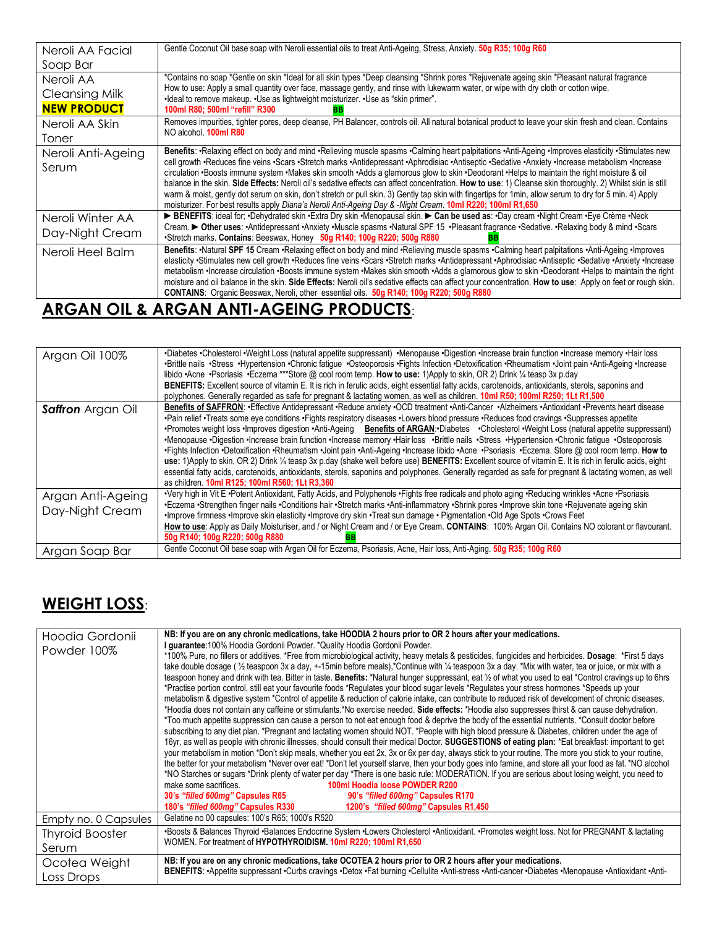| Neroli AA Facial      | Gentle Coconut Oil base soap with Neroli essential oils to treat Anti-Ageing, Stress, Anxiety. 50g R35; 100g R60                                                                                                                                                                                        |
|-----------------------|---------------------------------------------------------------------------------------------------------------------------------------------------------------------------------------------------------------------------------------------------------------------------------------------------------|
| Soap Bar              |                                                                                                                                                                                                                                                                                                         |
| Neroli AA             | *Contains no soap *Gentle on skin *Ideal for all skin types *Deep cleansing *Shrink pores *Rejuvenate ageing skin *Pleasant natural fragrance                                                                                                                                                           |
| <b>Cleansing Milk</b> | How to use: Apply a small quantity over face, massage gently, and rinse with lukewarm water, or wipe with dry cloth or cotton wipe.<br>•Ideal to remove makeup. •Use as lightweight moisturizer. •Use as "skin primer".                                                                                 |
| <b>NEW PRODUCT</b>    | 100ml R80; 500ml "refill" R300                                                                                                                                                                                                                                                                          |
| Neroli AA Skin        | Removes impurities, tighter pores, deep cleanse, PH Balancer, controls oil. All natural botanical product to leave your skin fresh and clean. Contains                                                                                                                                                  |
| Toner                 | NO alcohol. <b>100ml R80</b>                                                                                                                                                                                                                                                                            |
| Neroli Anti-Ageing    | Benefits: •Relaxing effect on body and mind •Relieving muscle spasms •Calming heart palpitations •Anti-Ageing •Improves elasticity •Stimulates new                                                                                                                                                      |
| Serum                 | cell growth •Reduces fine veins •Scars •Stretch marks •Antidepressant •Aphrodisiac •Antiseptic •Sedative •Anxiety •Increase metabolism •Increase<br>circulation •Boosts immune system •Makes skin smooth •Adds a glamorous glow to skin •Deodorant •Helps to maintain the right moisture & oil          |
|                       | balance in the skin. Side Effects: Neroli oil's sedative effects can affect concentration. How to use: 1) Cleanse skin thoroughly. 2) Whilst skin is still                                                                                                                                              |
|                       | warm & moist, gently dot serum on skin, don't stretch or pull skin. 3) Gently tap skin with fingertips for 1min, allow serum to dry for 5 min. 4) Apply<br>moisturizer. For best results apply Diana's Neroli Anti-Ageing Day & -Night Cream. 10ml R220; 100ml R1,650                                   |
| Neroli Winter AA      | BENEFITS: ideal for; •Dehydrated skin •Extra Dry skin •Menopausal skin. > Can be used as: •Day cream •Night Cream •Eye Crème •Neck                                                                                                                                                                      |
| Day-Night Cream       | Cream. ▶ Other uses: · Antidepressant · Anxiety · Muscle spasms · Natural SPF 15 · Pleasant fragrance · Sedative. · Relaxing body & mind · Scars                                                                                                                                                        |
|                       | •Stretch marks. Contains: Beeswax, Honey 50g R140; 100g R220; 500g R880<br>BB                                                                                                                                                                                                                           |
| Neroli Heel Balm      | Benefits: •Natural SPF 15 Cream •Relaxing effect on body and mind •Relieving muscle spasms •Calming heart palpitations •Anti-Ageing •Improves<br>elasticity 'Stimulates new cell growth 'Reduces fine veins 'Scars 'Stretch marks 'Antidepressant 'Aphrodisiac 'Antiseptic 'Sedative 'Anxiety 'Increase |
|                       | metabolism ·Increase circulation ·Boosts immune system ·Makes skin smooth ·Adds a glamorous glow to skin ·Deodorant ·Helps to maintain the right                                                                                                                                                        |
|                       | moisture and oil balance in the skin. Side Effects: Neroli oil's sedative effects can affect your concentration. How to use: Apply on feet or rough skin.                                                                                                                                               |
|                       | <b>CONTAINS:</b> Organic Beeswax, Neroli, other essential oils. 50g R140; 100g R220; 500g R880                                                                                                                                                                                                          |

## **ARGAN OIL & ARGAN ANTI-AGEING PRODUCTS**:

| Argan Oil 100%                       | •Diabetes •Cholesterol •Weight Loss (natural appetite suppressant) •Menopause •Digestion •Increase brain function •Increase memory •Hair loss<br>•Brittle nails •Stress •Hypertension •Chronic fatigue •Osteoporosis •Fights Infection •Detoxification •Rheumatism •Joint pain •Anti-Ageing •Increase<br>libido •Acne •Psoriasis •Eczema ***Store @ cool room temp. How to use: 1)Apply to skin, OR 2) Drink 1/4 teasp 3x p.day<br>BENEFITS: Excellent source of vitamin E. It is rich in ferulic acids, eight essential fatty acids, carotenoids, antioxidants, sterols, saponins and<br>polyphones. Generally regarded as safe for pregnant & lactating women, as well as children. 10ml R50; 100ml R250; 1Lt R1,500                                                                                                                                                                                                                                                                                                                                                                                             |
|--------------------------------------|--------------------------------------------------------------------------------------------------------------------------------------------------------------------------------------------------------------------------------------------------------------------------------------------------------------------------------------------------------------------------------------------------------------------------------------------------------------------------------------------------------------------------------------------------------------------------------------------------------------------------------------------------------------------------------------------------------------------------------------------------------------------------------------------------------------------------------------------------------------------------------------------------------------------------------------------------------------------------------------------------------------------------------------------------------------------------------------------------------------------|
| <b>Saffron</b> Argan Oil             | Benefits of SAFFRON: •Effective Antidepressant •Reduce anxiety •OCD treatment •Anti-Cancer •Alzheimers •Antioxidant •Prevents heart disease<br>•Pain relief •Treats some eye conditions •Fights respiratory diseases •Lowers blood pressure •Reduces food cravings •Suppresses appetite<br>•Promotes weight loss •Improves digestion •Anti-Ageing Benefits of ARGAN:•Diabetes •Cholesterol •Weight Loss (natural appetite suppressant)<br>•Menopause •Digestion •Increase brain function •Increase memory •Hair loss •Brittle nails •Stress •Hypertension •Chronic fatique •Osteoporosis<br>•Fights Infection •Detoxification •Rheumatism •Joint pain •Anti-Ageing •Increase libido •Acne •Psoriasis •Eczema. Store @ cool room temp. How to<br>use: 1)Apply to skin, OR 2) Drink ¼ teasp 3x p.day (shake well before use) BENEFITS: Excellent source of vitamin E. It is rich in ferulic acids, eight<br>essential fatty acids, carotenoids, antioxidants, sterols, saponins and polyphones. Generally regarded as safe for pregnant & lactating women, as well<br>as children. 10ml R125; 100ml R560; 1Lt R3,360 |
| Argan Anti-Ageing<br>Day-Night Cream | •Very high in Vit E •Potent Antioxidant, Fatty Acids, and Polyphenols •Fights free radicals and photo aging •Reducing wrinkles •Acne •Psoriasis<br>·Eczema ·Strengthen finger nails ·Conditions hair ·Stretch marks ·Anti-inflammatory ·Shrink pores ·Improve skin tone ·Rejuvenate ageing skin<br>Improve firmness · Improve skin elasticity · Improve dry skin · Treat sun damage · Pigmentation · Old Age Spots · Crows Feet<br>How to use: Apply as Daily Moisturiser, and / or Night Cream and / or Eye Cream. CONTAINS: 100% Argan Oil. Contains NO colorant or flavourant.<br>50g R140; 100g R220; 500g R880                                                                                                                                                                                                                                                                                                                                                                                                                                                                                                |
| Argan Soap Bar                       | Gentle Coconut Oil base soap with Argan Oil for Eczema, Psoriasis, Acne, Hair loss, Anti-Aging. 50g R35; 100g R60                                                                                                                                                                                                                                                                                                                                                                                                                                                                                                                                                                                                                                                                                                                                                                                                                                                                                                                                                                                                  |

## **WEIGHT LOSS**:

| Hoodia Gordonii<br>Powder 100% | NB: If you are on any chronic medications, take HOODIA 2 hours prior to OR 2 hours after your medications.<br>I guarantee: 100% Hoodia Gordonii Powder. *Quality Hoodia Gordonii Powder.<br>*100% Pure, no fillers or additives. *Free from microbiological activity, heavy metals & pesticides, fungicides and herbicides. Dosage: *First 5 days<br>take double dosage (1/2 teaspoon 3x a day, +-15min before meals),*Continue with 1/4 teaspoon 3x a day. *Mix with water, tea or juice, or mix with a<br>teaspoon honey and drink with tea. Bitter in taste. Benefits: *Natural hunger suppressant, eat 1/2 of what you used to eat *Control cravings up to 6hrs<br>*Practise portion control, still eat your favourite foods *Requlates your blood sugar levels *Requlates your stress hormones *Speeds up your<br>metabolism & digestive system *Control of appetite & reduction of calorie intake, can contribute to reduced risk of development of chronic diseases.<br>*Hoodia does not contain any caffeine or stimulants.*No exercise needed. Side effects: *Hoodia also suppresses thirst & can cause dehydration.                   |
|--------------------------------|-------------------------------------------------------------------------------------------------------------------------------------------------------------------------------------------------------------------------------------------------------------------------------------------------------------------------------------------------------------------------------------------------------------------------------------------------------------------------------------------------------------------------------------------------------------------------------------------------------------------------------------------------------------------------------------------------------------------------------------------------------------------------------------------------------------------------------------------------------------------------------------------------------------------------------------------------------------------------------------------------------------------------------------------------------------------------------------------------------------------------------------------------|
|                                | *Too much appetite suppression can cause a person to not eat enough food & deprive the body of the essential nutrients. *Consult doctor before<br>subscribing to any diet plan. *Pregnant and lactating women should NOT. *People with high blood pressure & Diabetes, children under the age of<br>16yr, as well as people with chronic illnesses, should consult their medical Doctor. SUGGESTIONS of eating plan: *Eat breakfast: important to get<br>your metabolism in motion *Don't skip meals, whether you eat 2x, 3x or 6x per day, always stick to your routine. The more you stick to your routine,<br>the better for your metabolism *Never over eat! *Don't let yourself starve, then your body goes into famine, and store all your food as fat. *NO alcohol<br>*NO Starches or sugars *Drink plenty of water per day *There is one basic rule: MODERATION. If you are serious about losing weight, you need to<br>make some sacrifices.<br>100ml Hoodia loose POWDER R200<br>30's "filled 600mg" Capsules R65<br>90's "filled 600mg" Capsules R170<br>180's "filled 600mg" Capsules R330<br>1200's "filled 600mg" Capsules R1,450 |
| Empty no. 0 Capsules           | Gelatine no 00 capsules: 100's R65; 1000's R520                                                                                                                                                                                                                                                                                                                                                                                                                                                                                                                                                                                                                                                                                                                                                                                                                                                                                                                                                                                                                                                                                                 |
| <b>Thyroid Booster</b>         | •Boosts & Balances Thyroid •Balances Endocrine System •Lowers Cholesterol •Antioxidant. •Promotes weight loss. Not for PREGNANT & lactating                                                                                                                                                                                                                                                                                                                                                                                                                                                                                                                                                                                                                                                                                                                                                                                                                                                                                                                                                                                                     |
| Serum                          | WOMEN. For treatment of HYPOTHYROIDISM. 10ml R220; 100ml R1,650                                                                                                                                                                                                                                                                                                                                                                                                                                                                                                                                                                                                                                                                                                                                                                                                                                                                                                                                                                                                                                                                                 |
| Ocotea Weight<br>Loss Drops    | NB: If you are on any chronic medications, take OCOTEA 2 hours prior to OR 2 hours after your medications.<br>BENEFITS: ·Appetite suppressant ·Curbs cravings ·Detox ·Fat burning ·Cellulite ·Anti-stress ·Anti-cancer ·Diabetes ·Menopause ·Antioxidant ·Anti-                                                                                                                                                                                                                                                                                                                                                                                                                                                                                                                                                                                                                                                                                                                                                                                                                                                                                 |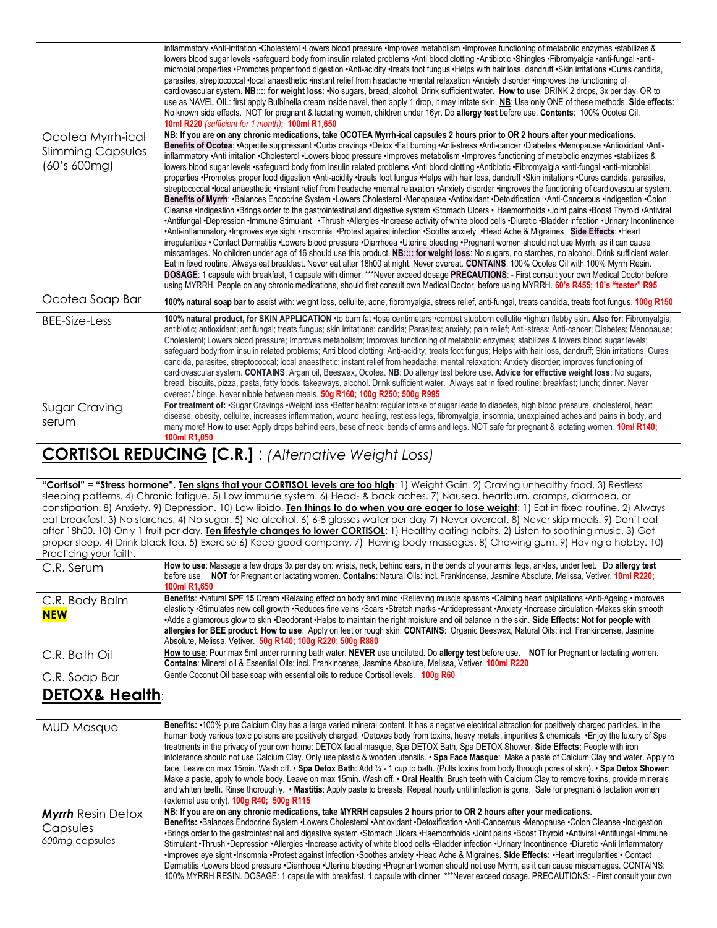|                                                               | inflammatory •Anti-irritation •Cholesterol •Lowers blood pressure •Improves metabolism •Improves functioning of metabolic enzymes •stabilizes &<br>lowers blood sugar levels •safequard body from insulin related problems •Anti blood clotting •Antibiotic •Shingles •Fibromyalgia •anti-fungal •anti-<br>microbial properties •Promotes proper food digestion •Anti-acidity •treats foot fungus •Helps with hair loss, dandruff •Skin irritations •Cures candida,<br>parasites, streptococcal .local anaesthetic .instant relief from headache .mental relaxation .Anxiety disorder .improves the functioning of<br>cardiovascular system. NB:::: for weight loss: . No sugars, bread, alcohol. Drink sufficient water. How to use: DRINK 2 drops, 3x per day. OR to<br>use as NAVEL OIL: first apply Bulbinella cream inside navel, then apply 1 drop, it may irritate skin. NB: Use only ONE of these methods. Side effects:<br>No known side effects. NOT for pregnant & lactating women, children under 16yr. Do allergy test before use. Contents: 100% Ocotea Oil.<br>10ml R220 (sufficient for 1 month); 100ml R1,650                                                                                                                                                                                                                                                                                                                                                                                                                                                                                                                                                                                                                                                                                                                                                                                                                                                                                                                                                                                                                                                                                                                                                             |
|---------------------------------------------------------------|--------------------------------------------------------------------------------------------------------------------------------------------------------------------------------------------------------------------------------------------------------------------------------------------------------------------------------------------------------------------------------------------------------------------------------------------------------------------------------------------------------------------------------------------------------------------------------------------------------------------------------------------------------------------------------------------------------------------------------------------------------------------------------------------------------------------------------------------------------------------------------------------------------------------------------------------------------------------------------------------------------------------------------------------------------------------------------------------------------------------------------------------------------------------------------------------------------------------------------------------------------------------------------------------------------------------------------------------------------------------------------------------------------------------------------------------------------------------------------------------------------------------------------------------------------------------------------------------------------------------------------------------------------------------------------------------------------------------------------------------------------------------------------------------------------------------------------------------------------------------------------------------------------------------------------------------------------------------------------------------------------------------------------------------------------------------------------------------------------------------------------------------------------------------------------------------------------------------------------------------------------------------------------------------|
| Ocotea Myrrh-ical<br><b>Slimming Capsules</b><br>(60's 600mg) | NB: If you are on any chronic medications, take OCOTEA Myrrh-ical capsules 2 hours prior to OR 2 hours after your medications.<br>Benefits of Ocotea: •Appetite suppressant •Curbs cravings •Detox •Fat burning •Anti-stress •Anti-cancer •Diabetes •Menopause •Antioxidant •Anti-<br>inflammatory •Anti irritation •Cholesterol •Lowers blood pressure •Improves metabolism •Improves functioning of metabolic enzymes •stabilizes &<br>lowers blood sugar levels •safequard body from insulin related problems •Anti blood clotting •Antibiotic •Fibromyalgia •anti-fungal •anti-microbial<br>properties •Promotes proper food digestion •Anti-acidity •treats foot fungus •Helps with hair loss, dandruff •Skin irritations •Cures candida, parasites,<br>streptococcal ·local anaesthetic ·instant relief from headache ·mental relaxation ·Anxiety disorder ·improves the functioning of cardiovascular system.<br>Benefits of Myrrh: •Balances Endocrine System •Lowers Cholesterol •Menopause •Antioxidant •Detoxification •Anti-Cancerous •Indigestion •Colon<br>Cleanse .Indigestion .Brings order to the gastrointestinal and digestive system .Stomach Ulcers . Haemorrhoids .Joint pains .Boost Thyroid .Antiviral<br>•Antifungal •Depression •Immune Stimulant •Thrush •Allergies •Increase activity of white blood cells •Diuretic •Bladder infection •Urinary Incontinence<br>•Anti-inflammatory •Improves eye sight •Insomnia •Protest against infection •Sooths anxiety •Head Ache & Migraines Side Effects: •Heart<br>irregularities • Contact Dermatitis •Lowers blood pressure •Diarrhoea •Uterine bleeding •Pregnant women should not use Myrrh, as it can cause<br>miscarriages. No children under age of 16 should use this product. NB:::: for weight loss: No sugars, no starches, no alcohol. Drink sufficient water.<br>Eat in fixed routine. Always eat breakfast. Never eat after 18h00 at night. Never overeat. CONTAINS: 100% Ocotea Oil with 100% Myrrh Resin.<br>DOSAGE: 1 capsule with breakfast, 1 capsule with dinner. ***Never exceed dosage PRECAUTIONS: - First consult your own Medical Doctor before<br>using MYRRH. People on any chronic medications, should first consult own Medical Doctor, before using MYRRH. 60's R455; 10's "tester" R95 |
| Ocotea Soap Bar                                               | 100% natural soap bar to assist with: weight loss, cellulite, acne, fibromyalgia, stress relief, anti-fungal, treats candida, treats foot fungus. 100g R150                                                                                                                                                                                                                                                                                                                                                                                                                                                                                                                                                                                                                                                                                                                                                                                                                                                                                                                                                                                                                                                                                                                                                                                                                                                                                                                                                                                                                                                                                                                                                                                                                                                                                                                                                                                                                                                                                                                                                                                                                                                                                                                                |
| BEE-Size-Less                                                 | 100% natural product, for SKIN APPLICATION .to burn fat .lose centimeters .combat stubborn cellulite .tighten flabby skin. Also for: Fibromyalgia;<br>antibiotic; antioxidant; antifungal; treats fungus; skin irritations; candida; Parasites; anxiety; pain relief; Anti-stress; Anti-cancer; Diabetes; Menopause;<br>Cholesterol; Lowers blood pressure; Improves metabolism; Improves functioning of metabolic enzymes; stabilizes & lowers blood sugar levels;<br>safeguard body from insulin related problems; Anti blood clotting; Anti-acidity; treats foot fungus; Helps with hair loss, dandruff; Skin irritations; Cures<br>candida, parasites, streptococcal; local anaesthetic; instant relief from headache; mental relaxation; Anxiety disorder; improves functioning of<br>cardiovascular system. CONTAINS: Argan oil, Beeswax, Ocotea. NB: Do allergy test before use. Advice for effective weight loss: No sugars,<br>bread, biscuits, pizza, pasta, fatty foods, takeaways, alcohol. Drink sufficient water. Always eat in fixed routine: breakfast; lunch; dinner. Never<br>overeat / binge. Never nibble between meals. 50g R160; 100g R250; 500g R995                                                                                                                                                                                                                                                                                                                                                                                                                                                                                                                                                                                                                                                                                                                                                                                                                                                                                                                                                                                                                                                                                                                |
| Sugar Craving<br>serum                                        | For treatment of: •Sugar Cravings •Weight loss •Better health: regular intake of sugar leads to diabetes, high blood pressure, cholesterol, heart<br>disease, obesity, cellulite, increases inflammation, wound healing, restless legs, fibromyalgia, insomnia, unexplained aches and pains in body, and<br>many more! How to use: Apply drops behind ears, base of neck, bends of arms and legs. NOT safe for pregnant & lactating women. 10ml R140;<br>100ml R1,050                                                                                                                                                                                                                                                                                                                                                                                                                                                                                                                                                                                                                                                                                                                                                                                                                                                                                                                                                                                                                                                                                                                                                                                                                                                                                                                                                                                                                                                                                                                                                                                                                                                                                                                                                                                                                      |

#### **CORTISOL REDUCING [C.R.]** : *(Alternative Weight Loss)*

**"Cortisol" = "Stress hormone". Ten signs that your CORTISOL levels are too high**: 1) Weight Gain. 2) Craving unhealthy food. 3) Restless sleeping patterns. 4) Chronic fatigue. 5) Low immune system. 6) Head- & back aches. 7) Nausea, heartburn, cramps, diarrhoea, or constipation. 8) Anxiety. 9) Depression. 10) Low libido. **Ten things to do when you are eager to lose weight**: 1) Eat in fixed routine. 2) Always eat breakfast. 3) No starches. 4) No sugar. 5) No alcohol. 6) 6-8 glasses water per day 7) Never overeat. 8) Never skip meals. 9) Don't eat after 18h00. 10) Only 1 fruit per day. **Ten lifestyle changes to lower CORTISOL**: 1) Healthy eating habits. 2) Listen to soothing music. 3) Get proper sleep. 4) Drink black tea. 5) Exercise 6) Keep good company. 7) Having body massages. 8) Chewing gum. 9) Having a hobby. 10) Practicing your faith.

| C.R. Serum                   | How to use: Massage a few drops 3x per day on: wrists, neck, behind ears, in the bends of your arms, legs, ankles, under feet. Do allergy test<br>before use. NOT for Pregnant or lactating women. Contains: Natural Oils: incl. Frankincense, Jasmine Absolute, Melissa, Vetiver. 10ml R220;<br>100ml R1.650                                                                                                                                                                                                                                                                                                                                                   |
|------------------------------|-----------------------------------------------------------------------------------------------------------------------------------------------------------------------------------------------------------------------------------------------------------------------------------------------------------------------------------------------------------------------------------------------------------------------------------------------------------------------------------------------------------------------------------------------------------------------------------------------------------------------------------------------------------------|
| C.R. Body Balm<br><b>NEW</b> | Benefits: .Natural SPF 15 Cream .Relaxing effect on body and mind .Relieving muscle spasms .Calming heart palpitations .Anti-Ageing .Improves<br>elasticity •Stimulates new cell growth •Reduces fine veins •Scars •Stretch marks •Antidepressant •Anxiety •Increase circulation •Makes skin smooth<br>•Adds a glamorous glow to skin •Deodorant •Helps to maintain the right moisture and oil balance in the skin. Side Effects: Not for people with<br>allergies for BEE product. How to use: Apply on feet or rough skin. CONTAINS: Organic Beeswax, Natural Oils: incl. Frankincense, Jasmine<br>Absolute, Melissa, Vetiver. 50g R140; 100g R220; 500g R880 |
| C.R. Bath Oil                | How to use: Pour max 5ml under running bath water. NEVER use undiluted. Do allergy test before use.<br><b>NOT</b> for Pregnant or lactating women.<br>Contains: Mineral oil & Essential Oils: incl. Frankincense, Jasmine Absolute, Melissa, Vetiver. 100ml R220                                                                                                                                                                                                                                                                                                                                                                                                |
| C.R. Soap Bar                | Gentle Coconut Oil base soap with essential oils to reduce Cortisol levels. 100g R60                                                                                                                                                                                                                                                                                                                                                                                                                                                                                                                                                                            |

### **DETOX& Health**:

| <b>MUD Masque</b>        | Benefits: •100% pure Calcium Clay has a large varied mineral content. It has a negative electrical attraction for positively charged particles. In the<br>human body various toxic poisons are positively charged. •Detoxes body from toxins, heavy metals, impurities & chemicals. •Enjoy the luxury of Spa<br>treatments in the privacy of your own home: DETOX facial masque, Spa DETOX Bath, Spa DETOX Shower. Side Effects: People with iron<br>intolerance should not use Calcium Clay. Only use plastic & wooden utensils. • Spa Face Masque: Make a paste of Calcium Clay and water. Apply to<br>face. Leave on max 15min. Wash off. • Spa Detox Bath: Add ¼ - 1 cup to bath. (Pulls toxins from body through pores of skin). • Spa Detox Shower:<br>Make a paste, apply to whole body. Leave on max 15min. Wash off. • Oral Health: Brush teeth with Calcium Clay to remove toxins, provide minerals<br>and whiten teeth. Rinse thoroughly. • Mastitis: Apply paste to breasts. Repeat hourly until infection is gone. Safe for pregnant & lactation women<br>(external use only). $100q$ R40; $500q$ R115 |
|--------------------------|---------------------------------------------------------------------------------------------------------------------------------------------------------------------------------------------------------------------------------------------------------------------------------------------------------------------------------------------------------------------------------------------------------------------------------------------------------------------------------------------------------------------------------------------------------------------------------------------------------------------------------------------------------------------------------------------------------------------------------------------------------------------------------------------------------------------------------------------------------------------------------------------------------------------------------------------------------------------------------------------------------------------------------------------------------------------------------------------------------------------|
| <b>Myrrh Resin Detox</b> | NB: If you are on any chronic medications, take MYRRH capsules 2 hours prior to OR 2 hours after your medications.                                                                                                                                                                                                                                                                                                                                                                                                                                                                                                                                                                                                                                                                                                                                                                                                                                                                                                                                                                                                  |
| Capsules                 | Benefits: •Balances Endocrine System •Lowers Cholesterol •Antioxidant •Detoxification •Anti-Cancerous •Menopause •Colon Cleanse •Indigestion                                                                                                                                                                                                                                                                                                                                                                                                                                                                                                                                                                                                                                                                                                                                                                                                                                                                                                                                                                        |
|                          | •Brings order to the gastrointestinal and digestive system •Stomach Ulcers •Haemorrhoids •Joint pains •Boost Thyroid •Antiviral •Antifungal •Immune                                                                                                                                                                                                                                                                                                                                                                                                                                                                                                                                                                                                                                                                                                                                                                                                                                                                                                                                                                 |
| 600mg capsules           | Stimulant •Thrush •Depression •Allergies •Increase activity of white blood cells •Bladder infection •Urinary Incontinence •Diuretic •Anti Inflammatory                                                                                                                                                                                                                                                                                                                                                                                                                                                                                                                                                                                                                                                                                                                                                                                                                                                                                                                                                              |
|                          | •Improves eye sight •Insomnia •Protest against infection •Soothes anxiety •Head Ache & Migraines. Side Effects: •Heart irregularities • Contact                                                                                                                                                                                                                                                                                                                                                                                                                                                                                                                                                                                                                                                                                                                                                                                                                                                                                                                                                                     |
|                          | Dermatitis •Lowers blood pressure •Diarrhoea •Uterine bleeding •Pregnant women should not use Myrrh, as it can cause miscarriages. CONTAINS:                                                                                                                                                                                                                                                                                                                                                                                                                                                                                                                                                                                                                                                                                                                                                                                                                                                                                                                                                                        |
|                          | 100% MYRRH RESIN. DOSAGE: 1 capsule with breakfast, 1 capsule with dinner. ***Never exceed dosage. PRECAUTIONS: - First consult your own                                                                                                                                                                                                                                                                                                                                                                                                                                                                                                                                                                                                                                                                                                                                                                                                                                                                                                                                                                            |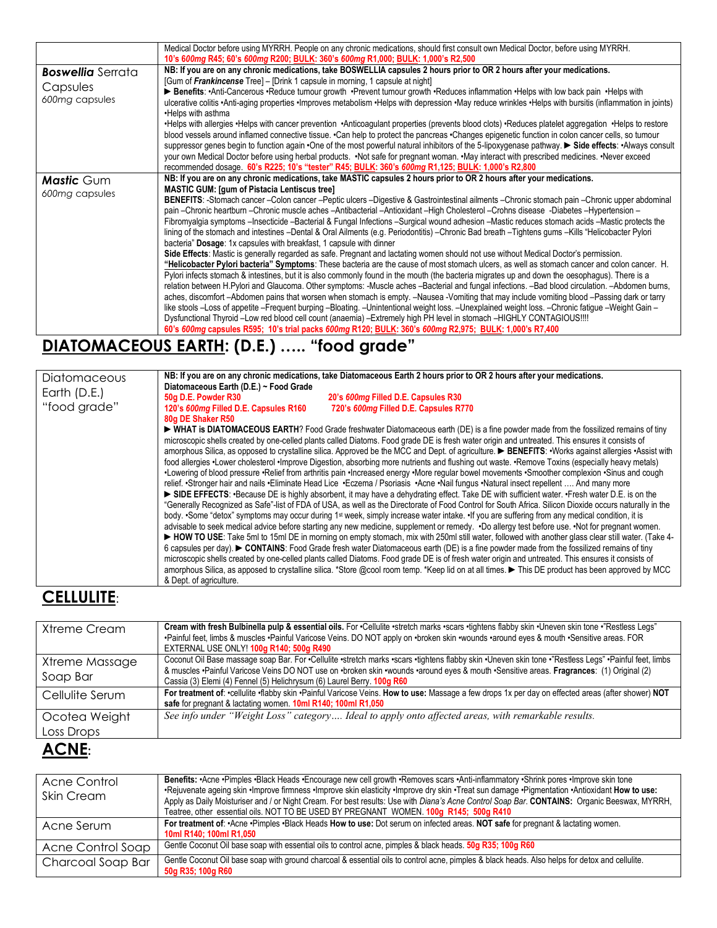|                                     | Medical Doctor before using MYRRH. People on any chronic medications, should first consult own Medical Doctor, before using MYRRH.                                                                                                                                                                                                                                                                                                                                                                                                                                                                                                                                                                                                                                                                                                                                                                                                                                                                                                                                                                                                                                                                                                                                                                                                                                                                                                                                                                                                                                                                                                                                                                                                                                                                                                                                                                                                                                                |
|-------------------------------------|-----------------------------------------------------------------------------------------------------------------------------------------------------------------------------------------------------------------------------------------------------------------------------------------------------------------------------------------------------------------------------------------------------------------------------------------------------------------------------------------------------------------------------------------------------------------------------------------------------------------------------------------------------------------------------------------------------------------------------------------------------------------------------------------------------------------------------------------------------------------------------------------------------------------------------------------------------------------------------------------------------------------------------------------------------------------------------------------------------------------------------------------------------------------------------------------------------------------------------------------------------------------------------------------------------------------------------------------------------------------------------------------------------------------------------------------------------------------------------------------------------------------------------------------------------------------------------------------------------------------------------------------------------------------------------------------------------------------------------------------------------------------------------------------------------------------------------------------------------------------------------------------------------------------------------------------------------------------------------------|
| <b>Boswellia</b> Serrata            | 10's 600mg R45; 60's 600mg R200; BULK: 360's 600mg R1,000; BULK: 1,000's R2,500<br>NB: If you are on any chronic medications, take BOSWELLIA capsules 2 hours prior to OR 2 hours after your medications.<br>[Gum of Frankincense Tree] - [Drink 1 capsule in morning, 1 capsule at night]                                                                                                                                                                                                                                                                                                                                                                                                                                                                                                                                                                                                                                                                                                                                                                                                                                                                                                                                                                                                                                                                                                                                                                                                                                                                                                                                                                                                                                                                                                                                                                                                                                                                                        |
| Capsules<br>600mg capsules          | ► Benefits: •Anti-Cancerous •Reduce tumour growth •Prevent tumour growth •Reduces inflammation •Helps with low back pain •Helps with<br>ulcerative colitis •Anti-aging properties •Improves metabolism •Helps with depression •May reduce wrinkles •Helps with bursitis (inflammation in joints)<br>•Helps with asthma                                                                                                                                                                                                                                                                                                                                                                                                                                                                                                                                                                                                                                                                                                                                                                                                                                                                                                                                                                                                                                                                                                                                                                                                                                                                                                                                                                                                                                                                                                                                                                                                                                                            |
|                                     | •Helps with allergies •Helps with cancer prevention •Anticoagulant properties (prevents blood clots) •Reduces platelet aggregation •Helps to restore<br>blood vessels around inflamed connective tissue. •Can help to protect the pancreas •Changes epigenetic function in colon cancer cells, so tumour<br>suppressor genes begin to function again •One of the most powerful natural inhibitors of the 5-lipoxygenase pathway. ► Side effects: •Always consult<br>your own Medical Doctor before using herbal products. . Not safe for pregnant woman. . May interact with prescribed medicines. . Never exceed<br>recommended dosage. 60's R225; 10's "tester" R45; BULK: 360's 600mg R1,125; BULK: 1,000's R2,800                                                                                                                                                                                                                                                                                                                                                                                                                                                                                                                                                                                                                                                                                                                                                                                                                                                                                                                                                                                                                                                                                                                                                                                                                                                             |
| <b>Mastic</b> Gum<br>600mg capsules | NB: If you are on any chronic medications, take MASTIC capsules 2 hours prior to OR 2 hours after your medications.<br><b>MASTIC GUM: [gum of Pistacia Lentiscus tree]</b><br>BENEFITS: -Stomach cancer -Colon cancer -Peptic ulcers -Digestive & Gastrointestinal ailments -Chronic stomach pain -Chronic upper abdominal<br>pain -Chronic heartburn -Chronic muscle aches -Antibacterial -Antioxidant -High Cholesterol -Crohns disease -Diabetes -Hypertension -<br>Fibromyalgia symptoms -Insecticide -Bacterial & Fungal Infections -Surgical wound adhesion -Mastic reduces stomach acids -Mastic protects the<br>lining of the stomach and intestines -Dental & Oral Ailments (e.g. Periodontitis) -Chronic Bad breath -Tightens gums -Kills "Helicobacter Pylori<br>bacteria" Dosage: 1x capsules with breakfast, 1 capsule with dinner<br>Side Effects: Mastic is generally regarded as safe. Pregnant and lactating women should not use without Medical Doctor's permission.<br>"Helicobacter Pylori bacteria" Symptoms: These bacteria are the cause of most stomach ulcers, as well as stomach cancer and colon cancer. H.<br>Pylori infects stomach & intestines, but it is also commonly found in the mouth (the bacteria migrates up and down the oesophagus). There is a<br>relation between H.Pylori and Glaucoma. Other symptoms: -Muscle aches -Bacterial and fungal infections. -Bad blood circulation. -Abdomen burns,<br>aches, discomfort –Abdomen pains that worsen when stomach is empty. –Nausea -Vomiting that may include vomiting blood –Passing dark or tarry<br>like stools -Loss of appetite -Frequent burping -Bloating. -Unintentional weight loss. -Unexplained weight loss. -Chronic fatique -Weight Gain -<br>Dysfunctional Thyroid -Low red blood cell count (anaemia) -Extremely high PH level in stomach -HIGHLY CONTAGIOUS!!!!<br>60's 600mg capsules R595; 10's trial packs 600mg R120; BULK: 360's 600mg R2,975; BULK: 1,000's R7,400 |

# **DIATOMACEOUS EARTH: (D.E.) ….. "food grade"**

| Diatomaceous | NB: If you are on any chronic medications, take Diatomaceous Earth 2 hours prior to OR 2 hours after your medications.<br>Diatomaceous Earth (D.E.) ~ Food Grade |
|--------------|------------------------------------------------------------------------------------------------------------------------------------------------------------------|
| Earth (D.E.) | 50g D.E. Powder R30<br>20's 600mg Filled D.E. Capsules R30                                                                                                       |
| "food grade" | 720's 600mg Filled D.E. Capsules R770<br>120's 600mg Filled D.E. Capsules R160                                                                                   |
|              | 80g DE Shaker R50                                                                                                                                                |
|              | ► WHAT is DIATOMACEOUS EARTH? Food Grade freshwater Diatomaceous earth (DE) is a fine powder made from the fossilized remains of tiny                            |
|              | microscopic shells created by one-celled plants called Diatoms. Food grade DE is fresh water origin and untreated. This ensures it consists of                   |
|              | amorphous Silica, as opposed to crystalline silica. Approved be the MCC and Dept. of agriculture. ▶ BENEFITS: • Works against allergies • Assist with            |
|              | food allergies •Lower cholesterol •Improve Digestion, absorbing more nutrients and flushing out waste. •Remove Toxins (especially heavy metals)                  |
|              | •Lowering of blood pressure •Relief from arthritis pain •Increased energy •More regular bowel movements •Smoother complexion •Sinus and cough                    |
|              | relief. •Stronger hair and nails •Eliminate Head Lice •Eczema / Psoriasis •Acne •Nail fungus •Natural insect repellent  And many more                            |
|              | SIDE EFFECTS: •Because DE is highly absorbent, it may have a dehydrating effect. Take DE with sufficient water. •Fresh water D.E. is on the                      |
|              | "Generally Recognized as Safe"-list of FDA of USA, as well as the Directorate of Food Control for South Africa. Silicon Dioxide occurs naturally in the          |
|              | body. •Some "detox" symptoms may occur during 1 <sup>st</sup> week, simply increase water intake. •If you are suffering from any medical condition, it is        |
|              | advisable to seek medical advice before starting any new medicine, supplement or remedy. .Do allergy test before use. .Not for pregnant women.                   |
|              | ► HOW TO USE: Take 5ml to 15ml DE in morning on empty stomach, mix with 250ml still water, followed with another glass clear still water. (Take 4-               |
|              | 6 capsules per day). CONTAINS: Food Grade fresh water Diatomaceous earth (DE) is a fine powder made from the fossilized remains of tiny                          |
|              | microscopic shells created by one-celled plants called Diatoms. Food grade DE is of fresh water origin and untreated. This ensures it consists of                |
|              | amorphous Silica, as apposed to crystalline silica. *Store @cool room temp. *Keep lid on at all times. ▶ This DE product has been approved by MCC                |
|              | & Dept. of agriculture.                                                                                                                                          |

## **CELLULITE**:

| Xtreme Cream                   | Cream with fresh Bulbinella pulp & essential oils. For . Cellulite . stretch marks . scars . tightens flabby skin . Uneven skin tone . "Restless Legs"<br>·Painful feet, limbs & muscles ·Painful Varicose Veins. DO NOT apply on ·broken skin ·wounds ·around eyes & mouth ·Sensitive areas. FOR<br>EXTERNAL USE ONLY! 100g R140; 500g R490 |
|--------------------------------|----------------------------------------------------------------------------------------------------------------------------------------------------------------------------------------------------------------------------------------------------------------------------------------------------------------------------------------------|
| Xtreme Massage<br>Soap Bar     | Coconut Oil Base massage soap Bar. For •Cellulite •stretch marks •scars •tightens flabby skin •Uneven skin tone •"Restless Legs" •Painful feet, limbs<br>& muscles ·Painful Varicose Veins DO NOT use on ·broken skin ·wounds ·around eyes & mouth ·Sensitive areas. Fragrances: (1) Original (2)                                            |
|                                | Cassia (3) Elemi (4) Fennel (5) Helichrysum (6) Laurel Berry. 100g R60                                                                                                                                                                                                                                                                       |
| Cellulite Serum                | For treatment of: ·cellulite ·flabby skin ·Painful Varicose Veins. How to use: Massage a few drops 1x per day on effected areas (after shower) NOT<br>safe for pregnant & lactating women. 10ml R140; 100ml R1,050                                                                                                                           |
| Ocotea Weight                  | See info under "Weight Loss" category Ideal to apply onto affected areas, with remarkable results.                                                                                                                                                                                                                                           |
| Loss Drops                     |                                                                                                                                                                                                                                                                                                                                              |
| $\Lambda$ $\cap$ $\Lambda$ IE. |                                                                                                                                                                                                                                                                                                                                              |

### **ACNE:**

| Acne Control<br>Skin Cream | Benefits: Acne ·Pimples ·Black Heads ·Encourage new cell growth ·Removes scars ·Anti-inflammatory ·Shrink pores ·Improve skin tone<br>•Rejuvenate ageing skin •Improve firmness •Improve skin elasticity •Improve dry skin •Treat sun damage •Pigmentation •Antioxidant How to use:<br>Apply as Daily Moisturiser and / or Night Cream. For best results: Use with Diana's Acne Control Soap Bar. CONTAINS: Organic Beeswax, MYRRH,<br>Teatree, other essential oils. NOT TO BE USED BY PREGNANT WOMEN, 100g R145; 500g R410 |
|----------------------------|------------------------------------------------------------------------------------------------------------------------------------------------------------------------------------------------------------------------------------------------------------------------------------------------------------------------------------------------------------------------------------------------------------------------------------------------------------------------------------------------------------------------------|
| Acne Serum                 | For treatment of: •Acne •Pimples •Black Heads How to use: Dot serum on infected areas. NOT safe for pregnant & lactating women.<br>10ml R140; 100ml R1,050                                                                                                                                                                                                                                                                                                                                                                   |
| Acne Control Soap          | Gentle Coconut Oil base soap with essential oils to control acne, pimples & black heads. 50g R35; 100g R60                                                                                                                                                                                                                                                                                                                                                                                                                   |
| Charcoal Soap Bar          | Gentle Coconut Oil base soap with ground charcoal & essential oils to control acne, pimples & black heads. Also helps for detox and cellulite.<br>50g R35; 100g R60                                                                                                                                                                                                                                                                                                                                                          |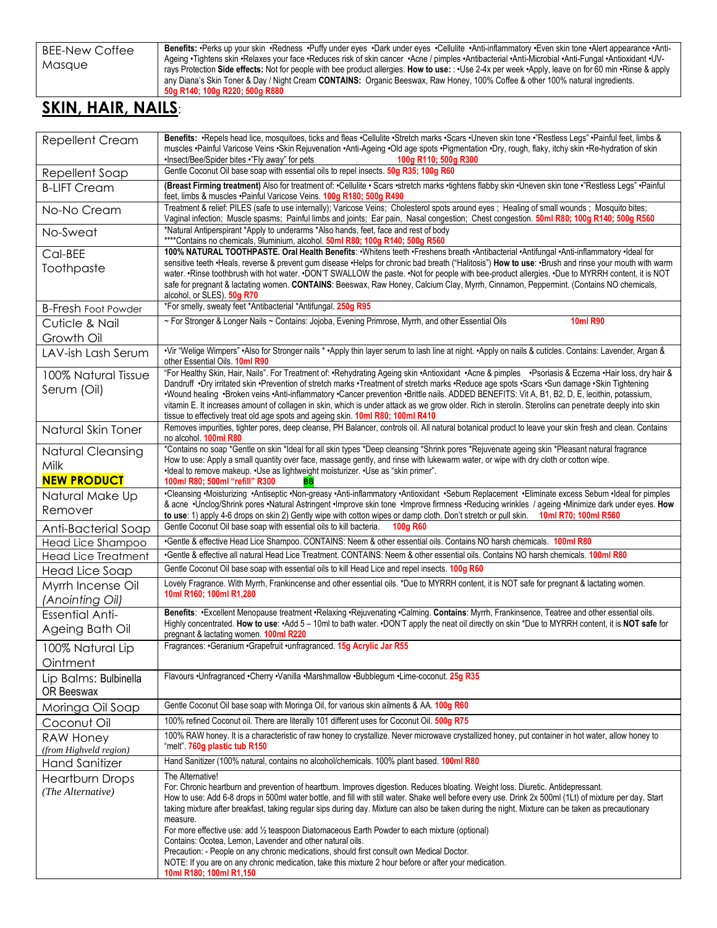Benefits: ·Perks up your skin ·Redness ·Puffy under eyes ·Dark under eyes ·Cellulite ·Anti-inflammatory ·Even skin tone ·Alert appearance ·Anti-Ageing •Tightens skin •Relaxes your face •Reduces risk of skin cancer •Acne / pimples •Antibacterial •Anti-Microbial •Anti-Fungal •Antioxidant •UVrays Protection **Side effects:** Not for people with bee product allergies. **How to use:** : •Use 2-4x per week •Apply, leave on for 60 min •Rinse & apply any Diana's Skin Toner & Day / Night Cream **CONTAINS:** Organic Beeswax, Raw Honey, 100% Coffee & other 100% natural ingredients. **50g R140; 100g R220; 500g R880**

### **SKIN, HAIR, NAILS**:

|                                             | Benefits: ·Repels head lice, mosquitoes, ticks and fleas ·Cellulite ·Stretch marks ·Scars ·Uneven skin tone ·"Restless Legs" ·Painful feet, limbs &                                                                                                                                                                                                                                                                                                                                                                                                                               |
|---------------------------------------------|-----------------------------------------------------------------------------------------------------------------------------------------------------------------------------------------------------------------------------------------------------------------------------------------------------------------------------------------------------------------------------------------------------------------------------------------------------------------------------------------------------------------------------------------------------------------------------------|
| <b>Repellent Cream</b>                      | muscles ·Painful Varicose Veins ·Skin Rejuvenation ·Anti-Ageing ·Old age spots ·Pigmentation ·Dry, rough, flaky, itchy skin ·Re-hydration of skin                                                                                                                                                                                                                                                                                                                                                                                                                                 |
|                                             | .Insect/Bee/Spider bites ."Fly away" for pets<br>100g R110; 500g R300                                                                                                                                                                                                                                                                                                                                                                                                                                                                                                             |
| Repellent Soap                              | Gentle Coconut Oil base soap with essential oils to repel insects. 50g R35; 100g R60                                                                                                                                                                                                                                                                                                                                                                                                                                                                                              |
| <b>B-LIFT Cream</b>                         | (Breast Firming treatment) Also for treatment of: .Cellulite . Scars .stretch marks .tightens flabby skin .Uneven skin tone ."Restless Legs" .Painful<br>feet, limbs & muscles .Painful Varicose Veins. 100g R180; 500g R490                                                                                                                                                                                                                                                                                                                                                      |
| No-No Cream                                 | Treatment & relief: PILES (safe to use internally); Varicose Veins; Cholesterol spots around eyes; Healing of small wounds; Mosquito bites;<br>Vaginal infection; Muscle spasms; Painful limbs and joints; Ear pain, Nasal congestion; Chest congestion. 50ml R80; 100g R140; 500g R560                                                                                                                                                                                                                                                                                           |
| No-Sweat                                    | *Natural Antiperspirant *Apply to underarms *Also hands, feet, face and rest of body<br>****Contains no chemicals, 9luminium, alcohol. 50ml R80; 100g R140; 500g R560                                                                                                                                                                                                                                                                                                                                                                                                             |
| Cal-BEE                                     | 100% NATURAL TOOTHPASTE. Oral Health Benefits: . Whitens teeth . Freshens breath . Antibacterial . Antifungal . Anti-inflammatory . Ideal for                                                                                                                                                                                                                                                                                                                                                                                                                                     |
| Toothpaste                                  | sensitive teeth .Heals, reverse & prevent gum disease .Helps for chronic bad breath ("Halitosis") How to use: .Brush and rinse your mouth with warm<br>water. •Rinse toothbrush with hot water. •DON'T SWALLOW the paste. •Not for people with bee-product allergies. •Due to MYRRH content, it is NOT<br>safe for pregnant & lactating women. CONTAINS: Beeswax, Raw Honey, Calcium Clay, Myrrh, Cinnamon, Peppermint. (Contains NO chemicals,<br>alcohol, or SLES). 50g R70                                                                                                     |
| <b>B-Fresh Foot Powder</b>                  | *For smelly, sweaty feet *Antibacterial *Antifungal. 250g R95                                                                                                                                                                                                                                                                                                                                                                                                                                                                                                                     |
| Cuticle & Nail                              | ~ For Stronger & Longer Nails ~ Contains: Jojoba, Evening Primrose, Myrrh, and other Essential Oils<br><b>10ml R90</b>                                                                                                                                                                                                                                                                                                                                                                                                                                                            |
| Growth Oil                                  |                                                                                                                                                                                                                                                                                                                                                                                                                                                                                                                                                                                   |
| LAV-ish Lash Serum                          | •Vir "Welige Wimpers" •Also for Stronger nails * •Apply thin layer serum to lash line at night. •Apply on nails & cuticles. Contains: Lavender, Argan &<br>other Essential Oils. 10ml R90                                                                                                                                                                                                                                                                                                                                                                                         |
| 100% Natural Tissue                         | "For Healthy Skin, Hair, Nails". For Treatment of: •Rehydrating Ageing skin •Antioxidant •Acne & pimples •Psoriasis & Eczema •Hair loss, dry hair &                                                                                                                                                                                                                                                                                                                                                                                                                               |
| Serum (Oil)                                 | Dandruff .Dry irritated skin .Prevention of stretch marks .Treatment of stretch marks .Reduce age spots .Scars .Sun damage .Skin Tightening<br>•Wound healing •Broken veins •Anti-inflammatory •Cancer prevention •Brittle nails. ADDED BENEFITS: Vit A, B1, B2, D, E, lecithin, potassium,<br>vitamin E. It increases amount of collagen in skin, which is under attack as we grow older. Rich in sterolin. Sterolins can penetrate deeply into skin<br>tissue to effectively treat old age spots and ageing skin. 10ml R80; 100ml R410                                          |
| Natural Skin Toner                          | Removes impurities, tighter pores, deep cleanse, PH Balancer, controls oil. All natural botanical product to leave your skin fresh and clean. Contains<br>no alcohol. 100ml R80                                                                                                                                                                                                                                                                                                                                                                                                   |
| <b>Natural Cleansing</b>                    | *Contains no soap *Gentle on skin *Ideal for all skin types *Deep cleansing *Shrink pores *Rejuvenate ageing skin *Pleasant natural fragrance                                                                                                                                                                                                                                                                                                                                                                                                                                     |
| Milk                                        | How to use: Apply a small quantity over face, massage gently, and rinse with lukewarm water, or wipe with dry cloth or cotton wipe.<br>•Ideal to remove makeup. •Use as lightweight moisturizer. •Use as "skin primer".                                                                                                                                                                                                                                                                                                                                                           |
| <b>NEW PRODUCT</b>                          | 100ml R80; 500ml "refill" R300<br>BB                                                                                                                                                                                                                                                                                                                                                                                                                                                                                                                                              |
| Natural Make Up                             | •Cleansing •Moisturizing •Antiseptic •Non-greasy •Anti-inflammatory •Antioxidant •Sebum Replacement •Eliminate excess Sebum •Ideal for pimples                                                                                                                                                                                                                                                                                                                                                                                                                                    |
| Remover                                     | & acne ·Unclog/Shrink pores ·Natural Astringent ·Improve skin tone ·Improve firmness ·Reducing wrinkles / ageing ·Minimize dark under eyes. How<br>to use: 1) apply 4-6 drops on skin 2) Gently wipe with cotton wipes or damp cloth. Don't stretch or pull skin.<br>10ml R70; 100ml R560                                                                                                                                                                                                                                                                                         |
| Anti-Bacterial Soap                         | Gentle Coconut Oil base soap with essential oils to kill bacteria.<br>100g R60                                                                                                                                                                                                                                                                                                                                                                                                                                                                                                    |
| Head Lice Shampoo                           | .Gentle & effective Head Lice Shampoo. CONTAINS: Neem & other essential oils. Contains NO harsh chemicals. 100ml R80                                                                                                                                                                                                                                                                                                                                                                                                                                                              |
| <b>Head Lice Treatment</b>                  | Gentle & effective all natural Head Lice Treatment. CONTAINS: Neem & other essential oils. Contains NO harsh chemicals. 100ml R80                                                                                                                                                                                                                                                                                                                                                                                                                                                 |
| Head Lice Soap                              | Gentle Coconut Oil base soap with essential oils to kill Head Lice and repel insects. 100g R60                                                                                                                                                                                                                                                                                                                                                                                                                                                                                    |
| Myrrh Incense Oil<br>(Anointing Oil)        | Lovely Fragrance. With Myrrh, Frankincense and other essential oils. *Due to MYRRH content, it is NOT safe for pregnant & lactating women.<br>10ml R160; 100ml R1,280                                                                                                                                                                                                                                                                                                                                                                                                             |
| <b>Essential Anti-</b>                      | Benefits: · Excellent Menopause treatment · Relaxing · Rejuvenating · Calming. Contains: Myrrh, Frankinsence, Teatree and other essential oils.                                                                                                                                                                                                                                                                                                                                                                                                                                   |
| Ageing Bath Oil                             | Highly concentrated. How to use: +Add 5 - 10ml to bath water. •DON'T apply the neat oil directly on skin *Due to MYRRH content, it is NOT safe for<br>pregnant & lactating women 100ml R220                                                                                                                                                                                                                                                                                                                                                                                       |
| 100% Natural Lip                            | Fragrances: •Geranium •Grapefruit •unfragranced. 15g Acrylic Jar R55                                                                                                                                                                                                                                                                                                                                                                                                                                                                                                              |
| Ointment                                    |                                                                                                                                                                                                                                                                                                                                                                                                                                                                                                                                                                                   |
| Lip Balms: Bulbinella<br>OR Beeswax         | Flavours .Unfragranced .Cherry .Vanilla .Marshmallow .Bubblegum .Lime-coconut. 25g R35                                                                                                                                                                                                                                                                                                                                                                                                                                                                                            |
| Moringa Oil Soap                            | Gentle Coconut Oil base soap with Moringa Oil, for various skin ailments & AA. 100g R60                                                                                                                                                                                                                                                                                                                                                                                                                                                                                           |
| Coconut Oil                                 | 100% refined Coconut oil. There are literally 101 different uses for Coconut Oil. 500g R75                                                                                                                                                                                                                                                                                                                                                                                                                                                                                        |
| RAW Honey                                   | 100% RAW honey. It is a characteristic of raw honey to crystallize. Never microwave crystallized honey, put container in hot water, allow honey to                                                                                                                                                                                                                                                                                                                                                                                                                                |
| (from Highveld region)                      | "melt" 760g plastic tub R150                                                                                                                                                                                                                                                                                                                                                                                                                                                                                                                                                      |
| <b>Hand Sanitizer</b>                       | Hand Sanitizer (100% natural, contains no alcohol/chemicals. 100% plant based. 100ml R80                                                                                                                                                                                                                                                                                                                                                                                                                                                                                          |
| <b>Heartburn Drops</b><br>(The Alternative) | The Alternative!<br>For: Chronic heartburn and prevention of heartburn. Improves digestion. Reduces bloating. Weight loss. Diuretic. Antidepressant.<br>How to use: Add 6-8 drops in 500ml water bottle, and fill with still water. Shake well before every use. Drink 2x 500ml (1Lt) of mixture per day. Start<br>taking mixture after breakfast, taking regular sips during day. Mixture can also be taken during the night. Mixture can be taken as precautionary<br>measure.<br>For more effective use: add 1/2 teaspoon Diatomaceous Earth Powder to each mixture (optional) |
|                                             | Contains: Ocotea, Lemon, Lavender and other natural oils.<br>Precaution: - People on any chronic medications, should first consult own Medical Doctor.<br>NOTE: If you are on any chronic medication, take this mixture 2 hour before or after your medication.<br>10ml R180; 100ml R1,150                                                                                                                                                                                                                                                                                        |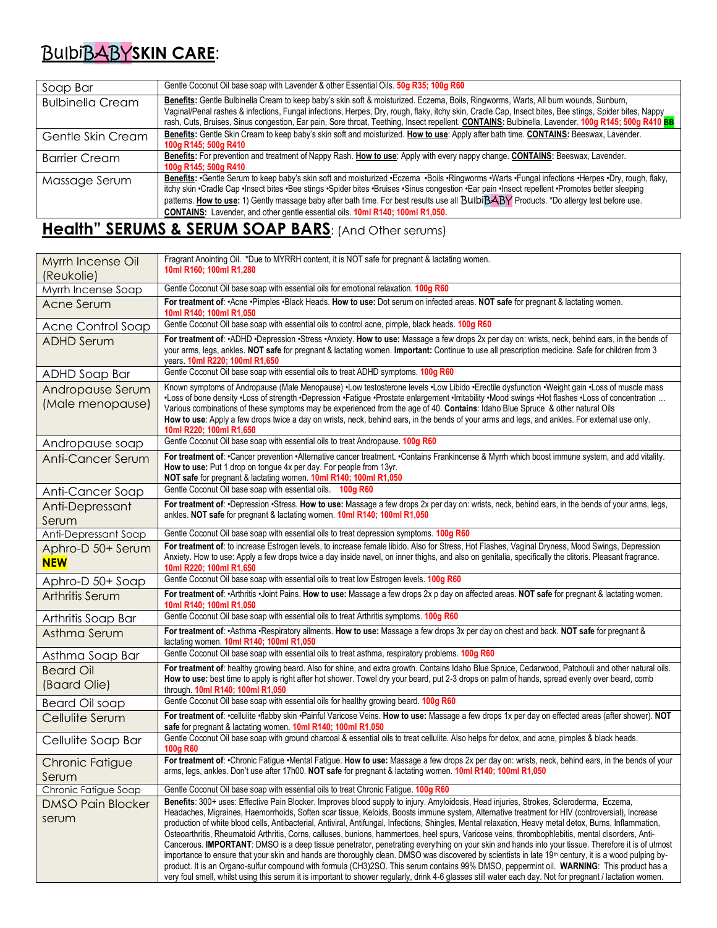# BulbiBABY**SKIN CARE**:

| Soap Bar                | Gentle Coconut Oil base soap with Lavender & other Essential Oils. 50g R35; 100g R60                                                                                                                                                                                                                                                                                                                                                                                                                                                           |
|-------------------------|------------------------------------------------------------------------------------------------------------------------------------------------------------------------------------------------------------------------------------------------------------------------------------------------------------------------------------------------------------------------------------------------------------------------------------------------------------------------------------------------------------------------------------------------|
| <b>Bulbinella Cream</b> | Benefits: Gentle Bulbinella Cream to keep baby's skin soft & moisturized. Eczema, Boils, Ringworms, Warts, All burn wounds, Sunburn,<br>Vaginal/Penal rashes & infections, Fungal infections, Herpes, Dry, rough, flaky, itchy skin, Cradle Cap, Insect bites, Bee stings, Spider bites, Nappy<br>rash, Cuts, Bruises, Sinus congestion, Ear pain, Sore throat, Teething, Insect repellent. CONTAINS: Bulbinella, Lavender. 100g R145; 500g R410 BB                                                                                            |
| Gentle Skin Cream       | Benefits: Gentle Skin Cream to keep baby's skin soft and moisturized. How to use: Apply after bath time. CONTAINS: Beeswax, Lavender.<br>100g R145; 500g R410                                                                                                                                                                                                                                                                                                                                                                                  |
| <b>Barrier Cream</b>    | Benefits: For prevention and treatment of Nappy Rash. How to use: Apply with every nappy change. CONTAINS: Beeswax, Lavender.<br>100g R145; 500g R410                                                                                                                                                                                                                                                                                                                                                                                          |
| Massage Serum           | Benefits: · Gentle Serum to keep baby's skin soft and moisturized · Eczema · Boils · Ringworms · Warts · Fungal infections · Herpes · Dry, rough, flaky,<br>itchy skin •Cradle Cap •Insect bites •Bee stings •Spider bites •Bruises •Sinus congestion •Ear pain •Insect repellent •Promotes better sleeping<br>patterns. How to use: 1) Gently massage baby after bath time. For best results use all BulbiBABY Products. *Do allergy test before use.<br><b>CONTAINS:</b> Lavender, and other gentle essential oils. 10ml R140; 100ml R1,050. |

## **Health" SERUMS & SERUM SOAP BARS:** (And Other serums)

| Myrrh Incense Oil<br>(Reukolie)      | Fragrant Anointing Oil. *Due to MYRRH content, it is NOT safe for pregnant & lactating women.<br>10ml R160; 100ml R1,280                                                                                                                                                                                                                                                                                                                                                                                                                                                                                                                                                                                                                                                                                                                                                                                                                                                                                                                                                                                                                                                                                                                    |
|--------------------------------------|---------------------------------------------------------------------------------------------------------------------------------------------------------------------------------------------------------------------------------------------------------------------------------------------------------------------------------------------------------------------------------------------------------------------------------------------------------------------------------------------------------------------------------------------------------------------------------------------------------------------------------------------------------------------------------------------------------------------------------------------------------------------------------------------------------------------------------------------------------------------------------------------------------------------------------------------------------------------------------------------------------------------------------------------------------------------------------------------------------------------------------------------------------------------------------------------------------------------------------------------|
| Myrrh Incense Soap                   | Gentle Coconut Oil base soap with essential oils for emotional relaxation. 100g R60                                                                                                                                                                                                                                                                                                                                                                                                                                                                                                                                                                                                                                                                                                                                                                                                                                                                                                                                                                                                                                                                                                                                                         |
| Acne Serum                           | For treatment of: .Acne .Pimples .Black Heads. How to use: Dot serum on infected areas. NOT safe for pregnant & lactating women.<br>10ml R140; 100ml R1,050                                                                                                                                                                                                                                                                                                                                                                                                                                                                                                                                                                                                                                                                                                                                                                                                                                                                                                                                                                                                                                                                                 |
| Acne Control Soap                    | Gentle Coconut Oil base soap with essential oils to control acne, pimple, black heads. 100g R60                                                                                                                                                                                                                                                                                                                                                                                                                                                                                                                                                                                                                                                                                                                                                                                                                                                                                                                                                                                                                                                                                                                                             |
| <b>ADHD Serum</b>                    | For treatment of: •ADHD •Depression •Stress •Anxiety. How to use: Massage a few drops 2x per day on: wrists, neck, behind ears, in the bends of<br>your arms, legs, ankles. NOT safe for pregnant & lactating women. Important: Continue to use all prescription medicine. Safe for children from 3<br>years. 10ml R220; 100ml R1,650                                                                                                                                                                                                                                                                                                                                                                                                                                                                                                                                                                                                                                                                                                                                                                                                                                                                                                       |
| ADHD Soap Bar                        | Gentle Coconut Oil base soap with essential oils to treat ADHD symptoms. 100g R60                                                                                                                                                                                                                                                                                                                                                                                                                                                                                                                                                                                                                                                                                                                                                                                                                                                                                                                                                                                                                                                                                                                                                           |
| Andropause Serum<br>(Male menopause) | Known symptoms of Andropause (Male Menopause) •Low testosterone levels •Low Libido •Erectile dysfunction •Weight gain •Loss of muscle mass<br>•Loss of bone density •Loss of strength •Depression •Fatigue •Prostate enlargement •Irritability •Mood swings •Hot flashes •Loss of concentration<br>Various combinations of these symptoms may be experienced from the age of 40. Contains: Idaho Blue Spruce & other natural Oils<br>How to use: Apply a few drops twice a day on wrists, neck, behind ears, in the bends of your arms and legs, and ankles. For external use only.<br>10ml R220; 100ml R1,650                                                                                                                                                                                                                                                                                                                                                                                                                                                                                                                                                                                                                              |
| Andropause soap                      | Gentle Coconut Oil base soap with essential oils to treat Andropause. 100g R60                                                                                                                                                                                                                                                                                                                                                                                                                                                                                                                                                                                                                                                                                                                                                                                                                                                                                                                                                                                                                                                                                                                                                              |
| Anti-Cancer Serum                    | For treatment of: •Cancer prevention •Alternative cancer treatment. •Contains Frankincense & Myrrh which boost immune system, and add vitality.<br>How to use: Put 1 drop on tongue 4x per day. For people from 13yr.<br>NOT safe for pregnant & lactating women. 10ml R140; 100ml R1,050                                                                                                                                                                                                                                                                                                                                                                                                                                                                                                                                                                                                                                                                                                                                                                                                                                                                                                                                                   |
| Anti-Cancer Soap                     | Gentle Coconut Oil base soap with essential oils. 100g R60                                                                                                                                                                                                                                                                                                                                                                                                                                                                                                                                                                                                                                                                                                                                                                                                                                                                                                                                                                                                                                                                                                                                                                                  |
| Anti-Depressant<br>Serum             | For treatment of: •Depression •Stress. How to use: Massage a few drops 2x per day on: wrists, neck, behind ears, in the bends of your arms, legs,<br>ankles. NOT safe for pregnant & lactating women. 10ml R140; 100ml R1,050                                                                                                                                                                                                                                                                                                                                                                                                                                                                                                                                                                                                                                                                                                                                                                                                                                                                                                                                                                                                               |
| Anti-Depressant Soap                 | Gentle Coconut Oil base soap with essential oils to treat depression symptoms. 100g R60                                                                                                                                                                                                                                                                                                                                                                                                                                                                                                                                                                                                                                                                                                                                                                                                                                                                                                                                                                                                                                                                                                                                                     |
| Aphro-D 50+ Serum<br><b>NEW</b>      | For treatment of: to increase Estrogen levels, to increase female libido. Also for Stress, Hot Flashes, Vaginal Dryness, Mood Swings, Depression<br>Anxiety. How to use: Apply a few drops twice a day inside navel, on inner thighs, and also on genitalia, specifically the clitoris. Pleasant fragrance.<br>10ml R220; 100ml R1,650                                                                                                                                                                                                                                                                                                                                                                                                                                                                                                                                                                                                                                                                                                                                                                                                                                                                                                      |
| Aphro-D 50+ Soap                     | Gentle Coconut Oil base soap with essential oils to treat low Estrogen levels. 100g R60                                                                                                                                                                                                                                                                                                                                                                                                                                                                                                                                                                                                                                                                                                                                                                                                                                                                                                                                                                                                                                                                                                                                                     |
| Arthritis Serum                      | For treatment of: •Arthritis •Joint Pains. How to use: Massage a few drops 2x p day on affected areas. NOT safe for pregnant & lactating women.<br>10ml R140; 100ml R1,050                                                                                                                                                                                                                                                                                                                                                                                                                                                                                                                                                                                                                                                                                                                                                                                                                                                                                                                                                                                                                                                                  |
| Arthritis Soap Bar                   | Gentle Coconut Oil base soap with essential oils to treat Arthritis symptoms. 100g R60                                                                                                                                                                                                                                                                                                                                                                                                                                                                                                                                                                                                                                                                                                                                                                                                                                                                                                                                                                                                                                                                                                                                                      |
| Asthma Serum                         | For treatment of: · Asthma · Respiratory ailments. How to use: Massage a few drops 3x per day on chest and back. NOT safe for pregnant &<br>lactating women. 10ml R140; 100ml R1,050                                                                                                                                                                                                                                                                                                                                                                                                                                                                                                                                                                                                                                                                                                                                                                                                                                                                                                                                                                                                                                                        |
| Asthma Soap Bar                      | Gentle Coconut Oil base soap with essential oils to treat asthma, respiratory problems. 100g R60                                                                                                                                                                                                                                                                                                                                                                                                                                                                                                                                                                                                                                                                                                                                                                                                                                                                                                                                                                                                                                                                                                                                            |
| <b>Beard Oil</b><br>(Baard Olie)     | For treatment of: healthy growing beard. Also for shine, and extra growth. Contains Idaho Blue Spruce, Cedarwood, Patchouli and other natural oils.<br>How to use: best time to apply is right after hot shower. Towel dry your beard, put 2-3 drops on palm of hands, spread evenly over beard, comb<br>through. 10ml R140; 100ml R1,050                                                                                                                                                                                                                                                                                                                                                                                                                                                                                                                                                                                                                                                                                                                                                                                                                                                                                                   |
| <b>Beard Oil soap</b>                | Gentle Coconut Oil base soap with essential oils for healthy growing beard. 100g R60                                                                                                                                                                                                                                                                                                                                                                                                                                                                                                                                                                                                                                                                                                                                                                                                                                                                                                                                                                                                                                                                                                                                                        |
| Cellulite Serum                      | For treatment of: .cellulite ·flabby skin ·Painful Varicose Veins. How to use: Massage a few drops 1x per day on effected areas (after shower). NOT<br>safe for pregnant & lactating women. 10ml R140; 100ml R1,050                                                                                                                                                                                                                                                                                                                                                                                                                                                                                                                                                                                                                                                                                                                                                                                                                                                                                                                                                                                                                         |
| Cellulite Soap Bar                   | Gentle Coconut Oil base soap with ground charcoal & essential oils to treat cellulite. Also helps for detox, and acne, pimples & black heads.<br>100a R60                                                                                                                                                                                                                                                                                                                                                                                                                                                                                                                                                                                                                                                                                                                                                                                                                                                                                                                                                                                                                                                                                   |
| Chronic Fatigue<br>Serum             | For treatment of: .Chronic Fatigue .Mental Fatigue. How to use: Massage a few drops 2x per day on: wrists, neck, behind ears, in the bends of your<br>arms, legs, ankles. Don't use after 17h00. NOT safe for pregnant & lactating women. 10ml R140; 100ml R1,050                                                                                                                                                                                                                                                                                                                                                                                                                                                                                                                                                                                                                                                                                                                                                                                                                                                                                                                                                                           |
| Chronic Fatigue Soap                 | Gentle Coconut Oil base soap with essential oils to treat Chronic Fatigue. 100g R60                                                                                                                                                                                                                                                                                                                                                                                                                                                                                                                                                                                                                                                                                                                                                                                                                                                                                                                                                                                                                                                                                                                                                         |
| <b>DMSO Pain Blocker</b><br>serum    | Benefits: 300+ uses: Effective Pain Blocker. Improves blood supply to injury. Amyloidosis, Head injuries, Strokes, Scleroderma, Eczema,<br>Headaches, Migraines, Haemorrhoids, Soften scar tissue, Keloids, Boosts immune system, Altemative treatment for HIV (controversial), Increase<br>production of white blood cells, Antibacterial, Antiviral, Antifungal, Infections, Shingles, Mental relaxation, Heavy metal detox, Burns, Inflammation,<br>Osteoarthritis, Rheumatoid Arthritis, Corns, calluses, bunions, hammertoes, heel spurs, Varicose veins, thrombophlebitis, mental disorders, Anti-<br>Cancerous. IMPORTANT: DMSO is a deep tissue penetrator, penetrating everything on your skin and hands into your tissue. Therefore it is of utmost<br>importance to ensure that your skin and hands are thoroughly clean. DMSO was discovered by scientists in late 19 <sup>th</sup> century, it is a wood pulping by-<br>product. It is an Organo-sulfur compound with formula (CH3)2SO. This serum contains 99% DMSO, peppermint oil. WARNING: This product has a<br>very foul smell, whilst using this serum it is important to shower regularly, drink 4-6 glasses still water each day. Not for pregnant / lactation women. |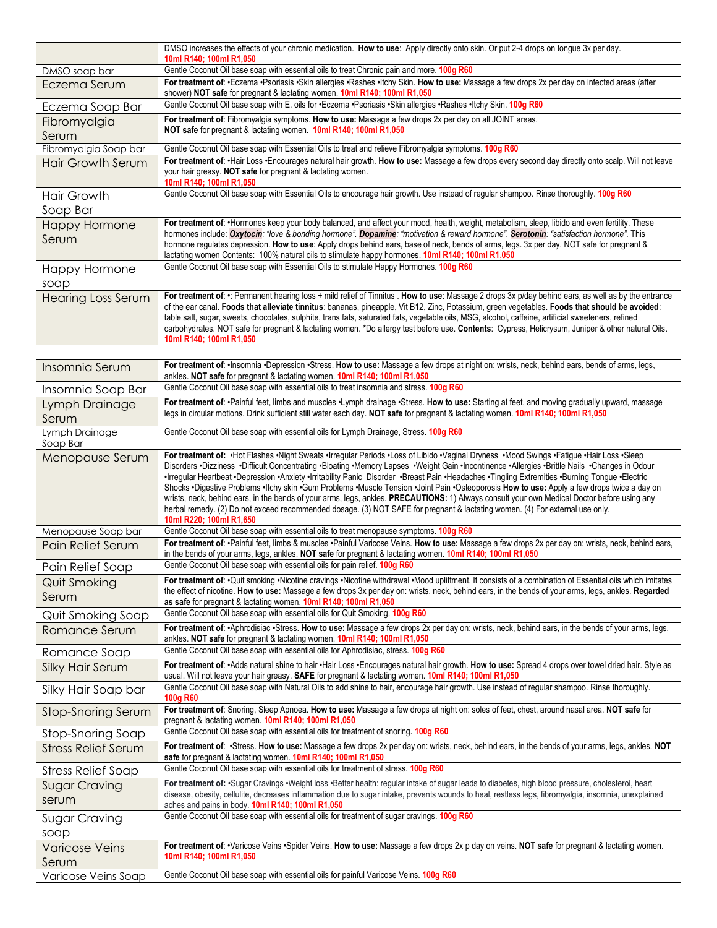|                               | DMSO increases the effects of your chronic medication. How to use: Apply directly onto skin. Or put 2-4 drops on tongue 3x per day.<br>10ml R140; 100ml R1,050                                                                                                                                                                                                                                                                                                                                                                                                                                                                                                                                                                                                                                                                                                                                               |
|-------------------------------|--------------------------------------------------------------------------------------------------------------------------------------------------------------------------------------------------------------------------------------------------------------------------------------------------------------------------------------------------------------------------------------------------------------------------------------------------------------------------------------------------------------------------------------------------------------------------------------------------------------------------------------------------------------------------------------------------------------------------------------------------------------------------------------------------------------------------------------------------------------------------------------------------------------|
| DMSO soap bar                 | Gentle Coconut Oil base soap with essential oils to treat Chronic pain and more. 100g R60                                                                                                                                                                                                                                                                                                                                                                                                                                                                                                                                                                                                                                                                                                                                                                                                                    |
| Eczema Serum                  | For treatment of: .Eczema .Psoriasis .Skin allergies .Rashes .Itchy Skin. How to use: Massage a few drops 2x per day on infected areas (after<br>shower) NOT safe for pregnant & lactating women. 10ml R140; 100ml R1,050                                                                                                                                                                                                                                                                                                                                                                                                                                                                                                                                                                                                                                                                                    |
| Eczema Soap Bar               | Gentle Coconut Oil base soap with E. oils for .Eczema .Psoriasis .Skin allergies .Rashes .Itchy Skin. 100g R60                                                                                                                                                                                                                                                                                                                                                                                                                                                                                                                                                                                                                                                                                                                                                                                               |
| Fibromyalgia                  | For treatment of: Fibromyalgia symptoms. How to use: Massage a few drops 2x per day on all JOINT areas.                                                                                                                                                                                                                                                                                                                                                                                                                                                                                                                                                                                                                                                                                                                                                                                                      |
| Serum                         | NOT safe for pregnant & lactating women. 10ml R140; 100ml R1,050                                                                                                                                                                                                                                                                                                                                                                                                                                                                                                                                                                                                                                                                                                                                                                                                                                             |
| Fibromyalgia Soap bar         | Gentle Coconut Oil base soap with Essential Oils to treat and relieve Fibromyalgia symptoms. 100g R60<br>For treatment of: · Hair Loss · Encourages natural hair growth. How to use: Massage a few drops every second day directly onto scalp. Will not leave                                                                                                                                                                                                                                                                                                                                                                                                                                                                                                                                                                                                                                                |
| <b>Hair Growth Serum</b>      | your hair greasy. NOT safe for pregnant & lactating women.<br>10ml R140; 100ml R1,050                                                                                                                                                                                                                                                                                                                                                                                                                                                                                                                                                                                                                                                                                                                                                                                                                        |
| <b>Hair Growth</b>            | Gentle Coconut Oil base soap with Essential Oils to encourage hair growth. Use instead of regular shampoo. Rinse thoroughly. 100g R60                                                                                                                                                                                                                                                                                                                                                                                                                                                                                                                                                                                                                                                                                                                                                                        |
| Soap Bar                      |                                                                                                                                                                                                                                                                                                                                                                                                                                                                                                                                                                                                                                                                                                                                                                                                                                                                                                              |
| <b>Happy Hormone</b><br>Serum | For treatment of: •Hormones keep your body balanced, and affect your mood, health, weight, metabolism, sleep, libido and even fertility. These<br>hormones include: Oxytocin: "love & bonding hormone". Dopamine: "motivation & reward hormone". Serotonin: "satisfaction hormone". This<br>hormone regulates depression. How to use: Apply drops behind ears, base of neck, bends of arms, legs. 3x per day. NOT safe for pregnant &<br>lactating women Contents: 100% natural oils to stimulate happy hormones. 10ml R140; 100ml R1,050                                                                                                                                                                                                                                                                                                                                                                    |
| Happy Hormone                 | Gentle Coconut Oil base soap with Essential Oils to stimulate Happy Hormones. 100g R60                                                                                                                                                                                                                                                                                                                                                                                                                                                                                                                                                                                                                                                                                                                                                                                                                       |
| soap                          |                                                                                                                                                                                                                                                                                                                                                                                                                                                                                                                                                                                                                                                                                                                                                                                                                                                                                                              |
| <b>Hearing Loss Serum</b>     | For treatment of: .: Permanent hearing loss + mild relief of Tinnitus . How to use: Massage 2 drops 3x p/day behind ears, as well as by the entrance<br>of the ear canal. Foods that alleviate tinnitus: bananas, pineapple, Vit B12, Zinc, Potassium, green vegetables. Foods that should be avoided:<br>table salt, sugar, sweets, chocolates, sulphite, trans fats, saturated fats, vegetable oils, MSG, alcohol, caffeine, artificial sweeteners, refined<br>carbohydrates. NOT safe for pregnant & lactating women. *Do allergy test before use. Contents: Cypress, Helicrysum, Juniper & other natural Oils.<br>10ml R140; 100ml R1,050                                                                                                                                                                                                                                                                |
| Insomnia Serum                | For treatment of: · Insomnia · Depression · Stress. How to use: Massage a few drops at night on: wrists, neck, behind ears, bends of arms, legs,                                                                                                                                                                                                                                                                                                                                                                                                                                                                                                                                                                                                                                                                                                                                                             |
| Insomnia Soap Bar             | ankles. NOT safe for pregnant & lactating women. 10ml R140; 100ml R1,050<br>Gentle Coconut Oil base soap with essential oils to treat insomnia and stress. 100g R60                                                                                                                                                                                                                                                                                                                                                                                                                                                                                                                                                                                                                                                                                                                                          |
| Lymph Drainage                | For treatment of: ·Painful feet, limbs and muscles ·Lymph drainage ·Stress. How to use: Starting at feet, and moving gradually upward, massage                                                                                                                                                                                                                                                                                                                                                                                                                                                                                                                                                                                                                                                                                                                                                               |
| Serum                         | legs in circular motions. Drink sufficient still water each day. NOT safe for pregnant & lactating women. 10ml R140; 100ml R1,050                                                                                                                                                                                                                                                                                                                                                                                                                                                                                                                                                                                                                                                                                                                                                                            |
| Lymph Drainage<br>Soap Bar    | Gentle Coconut Oil base soap with essential oils for Lymph Drainage, Stress. 100g R60                                                                                                                                                                                                                                                                                                                                                                                                                                                                                                                                                                                                                                                                                                                                                                                                                        |
| Menopause Serum               | For treatment of: . Hot Flashes . Night Sweats . Irregular Periods . Loss of Libido . Vaginal Dryness . Mood Swings . Fatigue . Hair Loss . Sleep<br>Disorders .Dizziness .Difficult Concentrating .Bloating .Memory Lapses .Weight Gain .Incontinence .Allergies .Brittle Nails .Changes in Odour<br>Irregular Heartbeat ·Depression ·Anxiety ·Irritability Panic Disorder ·Breast Pain ·Headaches ·Tingling Extremities ·Burning Tongue ·Electric<br>Shocks .Digestive Problems .Itchy skin .Gum Problems .Muscle Tension .Joint Pain .Osteoporosis How to use: Apply a few drops twice a day on<br>wrists, neck, behind ears, in the bends of your arms, legs, ankles. PRECAUTIONS: 1) Always consult your own Medical Doctor before using any<br>herbal remedy. (2) Do not exceed recommended dosage. (3) NOT SAFE for pregnant & lactating women. (4) For external use only.<br>10ml R220; 100ml R1,650 |
| Menopause Soap bar            | Gentle Coconut Oil base soap with essential oils to treat menopause symptoms. 100g R60                                                                                                                                                                                                                                                                                                                                                                                                                                                                                                                                                                                                                                                                                                                                                                                                                       |
| Pain Relief Serum             | For treatment of: ·Painful feet, limbs & muscles ·Painful Varicose Veins. How to use: Massage a few drops 2x per day on: wrists, neck, behind ears,<br>in the bends of your arms, legs, ankles. NOT safe for pregnant & lactating women. 10ml R140; 100ml R1,050                                                                                                                                                                                                                                                                                                                                                                                                                                                                                                                                                                                                                                             |
| Pain Relief Soap              | Gentle Coconut Oil base soap with essential oils for pain relief. 100g R60                                                                                                                                                                                                                                                                                                                                                                                                                                                                                                                                                                                                                                                                                                                                                                                                                                   |
| <b>Quit Smoking</b><br>Serum  | For treatment of: . Quit smoking . Nicotine cravings . Nicotine withdrawal . Mood upliftment. It consists of a combination of Essential oils which imitates<br>the effect of nicotine. How to use: Massage a few drops 3x per day on: wrists, neck, behind ears, in the bends of your arms, legs, ankles. Regarded<br>as safe for pregnant & lactating women. 10ml R140; 100ml R1,050                                                                                                                                                                                                                                                                                                                                                                                                                                                                                                                        |
| <b>Quit Smoking Soap</b>      | Gentle Coconut Oil base soap with essential oils for Quit Smoking. 100g R60                                                                                                                                                                                                                                                                                                                                                                                                                                                                                                                                                                                                                                                                                                                                                                                                                                  |
| Romance Serum                 | For treatment of: •Aphrodisiac •Stress. How to use: Massage a few drops 2x per day on: wrists, neck, behind ears, in the bends of your arms, legs,<br>ankles. NOT safe for pregnant & lactating women. 10ml R140; 100ml R1,050                                                                                                                                                                                                                                                                                                                                                                                                                                                                                                                                                                                                                                                                               |
| Romance Soap                  | Gentle Coconut Oil base soap with essential oils for Aphrodisiac, stress. 100g R60                                                                                                                                                                                                                                                                                                                                                                                                                                                                                                                                                                                                                                                                                                                                                                                                                           |
| <b>Silky Hair Serum</b>       | For treatment of: •Adds natural shine to hair •Hair Loss •Encourages natural hair growth. How to use: Spread 4 drops over towel dried hair. Style as<br>usual. Will not leave your hair greasy. SAFE for pregnant & lactating women. 10ml R140; 100ml R1,050                                                                                                                                                                                                                                                                                                                                                                                                                                                                                                                                                                                                                                                 |
| Silky Hair Soap bar           | Gentle Coconut Oil base soap with Natural Oils to add shine to hair, encourage hair growth. Use instead of regular shampoo. Rinse thoroughly.<br>100g R60                                                                                                                                                                                                                                                                                                                                                                                                                                                                                                                                                                                                                                                                                                                                                    |
| Stop-Snoring Serum            | For treatment of: Snoring, Sleep Apnoea. How to use: Massage a few drops at night on: soles of feet, chest, around nasal area. NOT safe for<br>pregnant & lactating women. 10ml R140; 100ml R1,050                                                                                                                                                                                                                                                                                                                                                                                                                                                                                                                                                                                                                                                                                                           |
| Stop-Snoring Soap             | Gentle Coconut Oil base soap with essential oils for treatment of snoring. 100g R60                                                                                                                                                                                                                                                                                                                                                                                                                                                                                                                                                                                                                                                                                                                                                                                                                          |
| <b>Stress Relief Serum</b>    | For treatment of: .Stress. How to use: Massage a few drops 2x per day on: wrists, neck, behind ears, in the bends of your arms, legs, ankles. NOT<br>safe for pregnant & lactating women. 10ml R140; 100ml R1,050                                                                                                                                                                                                                                                                                                                                                                                                                                                                                                                                                                                                                                                                                            |
| <b>Stress Relief Soap</b>     | Gentle Coconut Oil base soap with essential oils for treatment of stress. 100g R60                                                                                                                                                                                                                                                                                                                                                                                                                                                                                                                                                                                                                                                                                                                                                                                                                           |
| <b>Sugar Craving</b>          | For treatment of: .Sugar Cravings .Weight loss .Better health: regular intake of sugar leads to diabetes, high blood pressure, cholesterol, heart                                                                                                                                                                                                                                                                                                                                                                                                                                                                                                                                                                                                                                                                                                                                                            |
| serum                         | disease, obesity, cellulite, decreases inflammation due to sugar intake, prevents wounds to heal, restless legs, fibromyalgia, insomnia, unexplained<br>aches and pains in body. 10ml R140; 100ml R1,050                                                                                                                                                                                                                                                                                                                                                                                                                                                                                                                                                                                                                                                                                                     |
| Sugar Craving                 | Gentle Coconut Oil base soap with essential oils for treatment of sugar cravings. 100g R60                                                                                                                                                                                                                                                                                                                                                                                                                                                                                                                                                                                                                                                                                                                                                                                                                   |
| soap                          |                                                                                                                                                                                                                                                                                                                                                                                                                                                                                                                                                                                                                                                                                                                                                                                                                                                                                                              |
| <b>Varicose Veins</b>         | For treatment of: ·Varicose Veins ·Spider Veins. How to use: Massage a few drops 2x p day on veins. NOT safe for pregnant & lactating women.<br>10ml R140; 100ml R1,050                                                                                                                                                                                                                                                                                                                                                                                                                                                                                                                                                                                                                                                                                                                                      |
| Serum                         |                                                                                                                                                                                                                                                                                                                                                                                                                                                                                                                                                                                                                                                                                                                                                                                                                                                                                                              |
| Varicose Veins Soap           | Gentle Coconut Oil base soap with essential oils for painful Varicose Veins. 100g R60                                                                                                                                                                                                                                                                                                                                                                                                                                                                                                                                                                                                                                                                                                                                                                                                                        |